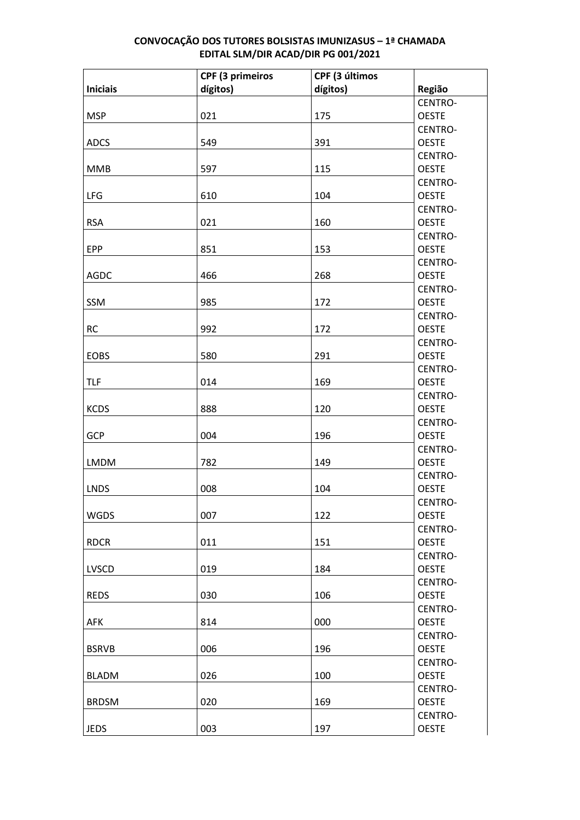|                 | CPF (3 primeiros | CPF (3 últimos |                         |
|-----------------|------------------|----------------|-------------------------|
| <b>Iniciais</b> | dígitos)         | dígitos)       | Região                  |
|                 |                  |                | CENTRO-                 |
| <b>MSP</b>      | 021              | 175            | <b>OESTE</b>            |
|                 |                  |                | CENTRO-                 |
| <b>ADCS</b>     | 549              | 391            | <b>OESTE</b>            |
|                 |                  |                | CENTRO-                 |
| <b>MMB</b>      | 597              | 115            | <b>OESTE</b>            |
|                 |                  |                | CENTRO-                 |
| LFG             | 610              | 104            | <b>OESTE</b>            |
|                 |                  |                | CENTRO-                 |
| <b>RSA</b>      | 021              | 160            | <b>OESTE</b>            |
|                 |                  |                | CENTRO-                 |
| <b>EPP</b>      | 851              | 153            | <b>OESTE</b>            |
|                 |                  |                | CENTRO-                 |
| <b>AGDC</b>     | 466              | 268            | <b>OESTE</b>            |
|                 |                  |                | CENTRO-                 |
| SSM             | 985              | 172            | <b>OESTE</b>            |
|                 |                  |                | CENTRO-                 |
| <b>RC</b>       | 992              | 172            | <b>OESTE</b>            |
|                 |                  |                | CENTRO-                 |
| <b>EOBS</b>     | 580              | 291            | <b>OESTE</b>            |
|                 |                  |                | CENTRO-                 |
| <b>TLF</b>      | 014              | 169            | <b>OESTE</b>            |
| <b>KCDS</b>     | 888              | 120            | CENTRO-<br><b>OESTE</b> |
|                 |                  |                | CENTRO-                 |
| GCP             | 004              | 196            | <b>OESTE</b>            |
|                 |                  |                | CENTRO-                 |
| <b>LMDM</b>     | 782              | 149            | <b>OESTE</b>            |
|                 |                  |                | CENTRO-                 |
| <b>LNDS</b>     | 008              | 104            | <b>OESTE</b>            |
|                 |                  |                | CENTRO-                 |
| WGDS            | 007              | 122            | <b>OESTE</b>            |
|                 |                  |                | CENTRO-                 |
| <b>RDCR</b>     | 011              | 151            | <b>OESTE</b>            |
|                 |                  |                | CENTRO-                 |
| LVSCD           | 019              | 184            | <b>OESTE</b>            |
|                 |                  |                | CENTRO-                 |
| <b>REDS</b>     | 030              | 106            | <b>OESTE</b>            |
|                 |                  |                | CENTRO-                 |
| <b>AFK</b>      | 814              | 000            | <b>OESTE</b>            |
|                 |                  |                | CENTRO-                 |
| <b>BSRVB</b>    | 006              | 196            | <b>OESTE</b>            |
|                 |                  |                | CENTRO-                 |
| <b>BLADM</b>    | 026              | 100            | <b>OESTE</b>            |
|                 |                  |                | CENTRO-                 |
| <b>BRDSM</b>    | 020              | 169            | <b>OESTE</b>            |
|                 |                  |                | CENTRO-                 |
| <b>JEDS</b>     | 003              | 197            | <b>OESTE</b>            |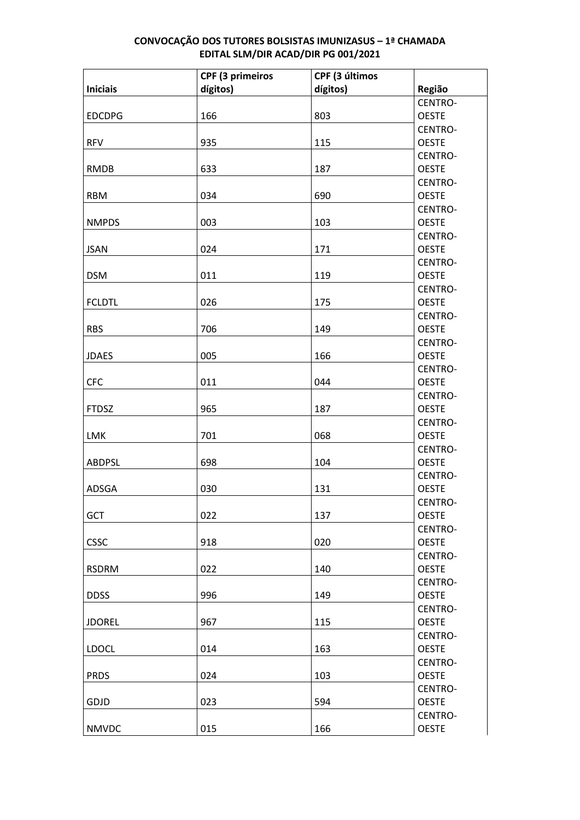|                 | CPF (3 primeiros | CPF (3 últimos |                         |
|-----------------|------------------|----------------|-------------------------|
| <b>Iniciais</b> | dígitos)         | dígitos)       | Região                  |
|                 |                  |                | CENTRO-                 |
| <b>EDCDPG</b>   | 166              | 803            | <b>OESTE</b>            |
|                 |                  |                | CENTRO-                 |
| <b>RFV</b>      | 935              | 115            | <b>OESTE</b>            |
|                 |                  |                | CENTRO-                 |
| <b>RMDB</b>     | 633              | 187            | <b>OESTE</b>            |
|                 |                  |                | CENTRO-                 |
| <b>RBM</b>      | 034              | 690            | <b>OESTE</b>            |
|                 |                  |                | CENTRO-                 |
| <b>NMPDS</b>    | 003              | 103            | <b>OESTE</b>            |
|                 |                  |                | CENTRO-                 |
| <b>JSAN</b>     | 024              | 171            | <b>OESTE</b>            |
|                 |                  |                | CENTRO-                 |
| <b>DSM</b>      | 011              | 119            | <b>OESTE</b>            |
|                 |                  |                | CENTRO-                 |
| <b>FCLDTL</b>   | 026              | 175            | <b>OESTE</b>            |
|                 |                  |                | CENTRO-                 |
| <b>RBS</b>      | 706              | 149            | <b>OESTE</b>            |
|                 |                  |                | CENTRO-                 |
| <b>JDAES</b>    | 005              | 166            | <b>OESTE</b>            |
|                 |                  |                | CENTRO-                 |
| <b>CFC</b>      | 011              | 044            | <b>OESTE</b>            |
|                 |                  |                | CENTRO-                 |
| <b>FTDSZ</b>    | 965              | 187            | <b>OESTE</b>            |
| LMK             | 701              | 068            | CENTRO-<br><b>OESTE</b> |
|                 |                  |                | CENTRO-                 |
| <b>ABDPSL</b>   | 698              | 104            | <b>OESTE</b>            |
|                 |                  |                | CENTRO-                 |
| ADSGA           | 030              | 131            | <b>OESTE</b>            |
|                 |                  |                | CENTRO-                 |
| GCT             | 022              | 137            | <b>OESTE</b>            |
|                 |                  |                | CENTRO-                 |
| <b>CSSC</b>     | 918              | 020            | <b>OESTE</b>            |
|                 |                  |                | CENTRO-                 |
| <b>RSDRM</b>    | 022              | 140            | <b>OESTE</b>            |
|                 |                  |                | CENTRO-                 |
| <b>DDSS</b>     | 996              | 149            | <b>OESTE</b>            |
|                 |                  |                | CENTRO-                 |
| <b>JDOREL</b>   | 967              | 115            | <b>OESTE</b>            |
|                 |                  |                | CENTRO-                 |
| <b>LDOCL</b>    | 014              | 163            | <b>OESTE</b>            |
|                 |                  |                | CENTRO-                 |
| <b>PRDS</b>     | 024              | 103            | <b>OESTE</b>            |
|                 |                  |                | CENTRO-                 |
| GDJD            | 023              | 594            | <b>OESTE</b>            |
|                 |                  |                | CENTRO-                 |
| <b>NMVDC</b>    | 015              | 166            | <b>OESTE</b>            |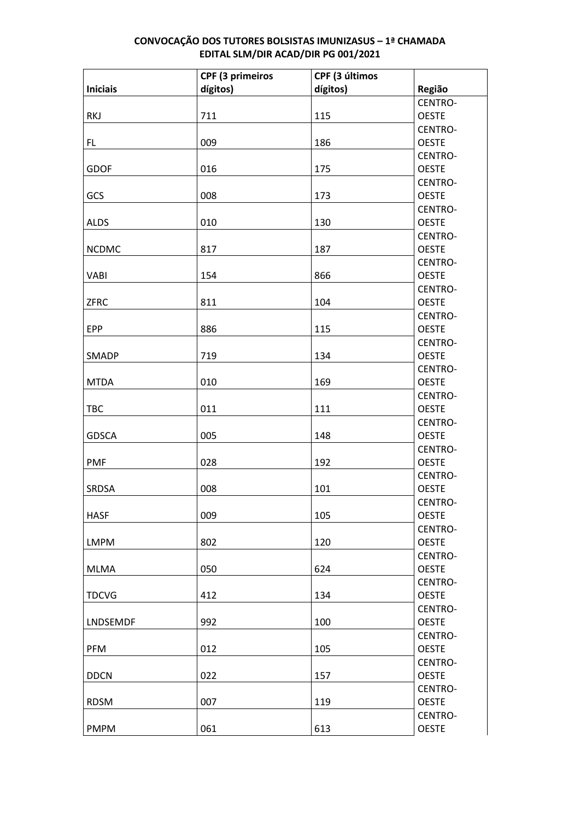|                 | CPF (3 primeiros | CPF (3 últimos |                         |
|-----------------|------------------|----------------|-------------------------|
| <b>Iniciais</b> | dígitos)         | dígitos)       | Região                  |
|                 |                  |                | CENTRO-                 |
| <b>RKJ</b>      | 711              | 115            | <b>OESTE</b>            |
|                 |                  |                | CENTRO-                 |
| FL.             | 009              | 186            | <b>OESTE</b>            |
|                 |                  |                | CENTRO-                 |
| <b>GDOF</b>     | 016              | 175            | <b>OESTE</b>            |
|                 |                  |                | CENTRO-                 |
| GCS             | 008              | 173            | <b>OESTE</b>            |
|                 |                  |                | CENTRO-                 |
| <b>ALDS</b>     | 010              | 130            | <b>OESTE</b>            |
|                 |                  |                | CENTRO-                 |
| <b>NCDMC</b>    | 817              | 187            | <b>OESTE</b>            |
|                 |                  |                | CENTRO-                 |
| <b>VABI</b>     | 154              | 866            | <b>OESTE</b>            |
|                 |                  |                | CENTRO-                 |
| ZFRC            | 811              | 104            | <b>OESTE</b>            |
|                 |                  |                | CENTRO-                 |
| <b>EPP</b>      | 886              | 115            | <b>OESTE</b>            |
|                 |                  |                | CENTRO-                 |
| SMADP           | 719              | 134            | <b>OESTE</b>            |
| <b>MTDA</b>     | 010              | 169            | CENTRO-                 |
|                 |                  |                | <b>OESTE</b><br>CENTRO- |
| <b>TBC</b>      | 011              | 111            | <b>OESTE</b>            |
|                 |                  |                | CENTRO-                 |
| <b>GDSCA</b>    | 005              | 148            | <b>OESTE</b>            |
|                 |                  |                | CENTRO-                 |
| <b>PMF</b>      | 028              | 192            | <b>OESTE</b>            |
|                 |                  |                | CENTRO-                 |
| <b>SRDSA</b>    | 008              | 101            | <b>OESTE</b>            |
|                 |                  |                | CENTRO-                 |
| <b>HASF</b>     | 009              | 105            | <b>OESTE</b>            |
|                 |                  |                | CENTRO-                 |
| <b>LMPM</b>     | 802              | 120            | <b>OESTE</b>            |
|                 |                  |                | CENTRO-                 |
| <b>MLMA</b>     | 050              | 624            | <b>OESTE</b>            |
|                 |                  |                | CENTRO-                 |
| <b>TDCVG</b>    | 412              | 134            | <b>OESTE</b>            |
|                 |                  |                | CENTRO-                 |
| <b>LNDSEMDF</b> | 992              | 100            | <b>OESTE</b>            |
|                 |                  |                | CENTRO-                 |
| <b>PFM</b>      | 012              | 105            | <b>OESTE</b>            |
|                 |                  |                | CENTRO-                 |
| <b>DDCN</b>     | 022              | 157            | <b>OESTE</b>            |
|                 |                  |                | CENTRO-                 |
| <b>RDSM</b>     | 007              | 119            | <b>OESTE</b>            |
|                 |                  |                | CENTRO-                 |
| <b>PMPM</b>     | 061              | 613            | <b>OESTE</b>            |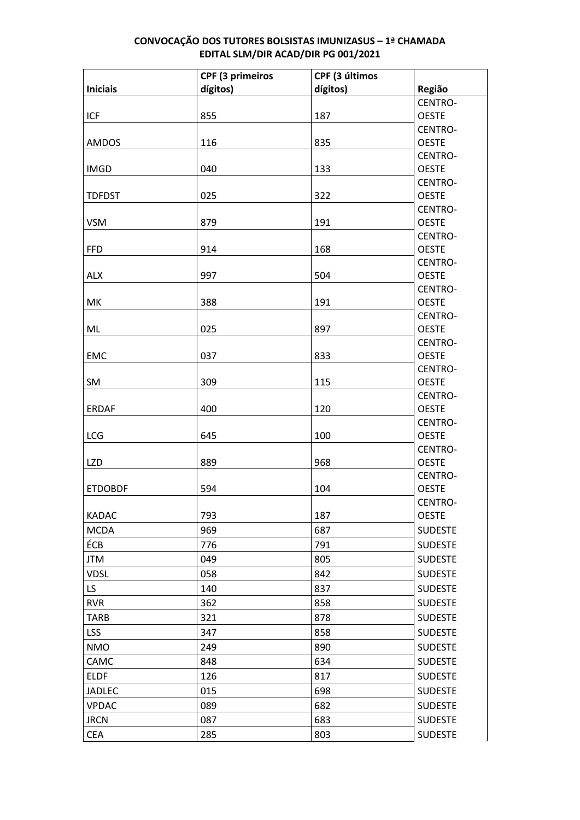|                 | <b>CPF (3 primeiros</b> | CPF (3 últimos |                         |
|-----------------|-------------------------|----------------|-------------------------|
| <b>Iniciais</b> | dígitos)                | dígitos)       | Região                  |
|                 |                         |                | CENTRO-                 |
| <b>ICF</b>      | 855                     | 187            | <b>OESTE</b>            |
|                 |                         |                | CENTRO-                 |
| <b>AMDOS</b>    | 116                     | 835            | <b>OESTE</b>            |
|                 |                         |                | CENTRO-                 |
| <b>IMGD</b>     | 040                     | 133            | <b>OESTE</b>            |
|                 |                         |                | CENTRO-                 |
| <b>TDFDST</b>   | 025                     | 322            | <b>OESTE</b>            |
|                 |                         |                | CENTRO-                 |
| <b>VSM</b>      | 879                     | 191            | <b>OESTE</b>            |
|                 |                         |                | CENTRO-                 |
| <b>FFD</b>      | 914                     | 168            | <b>OESTE</b>            |
|                 |                         |                | CENTRO-                 |
| <b>ALX</b>      | 997                     | 504            | <b>OESTE</b>            |
|                 |                         |                | CENTRO-                 |
| MK              | 388                     | 191            | <b>OESTE</b>            |
| ML              | 025                     | 897            | CENTRO-<br><b>OESTE</b> |
|                 |                         |                | CENTRO-                 |
| <b>EMC</b>      | 037                     | 833            | <b>OESTE</b>            |
|                 |                         |                | CENTRO-                 |
| SM              | 309                     | 115            | <b>OESTE</b>            |
|                 |                         |                | CENTRO-                 |
| <b>ERDAF</b>    | 400                     | 120            | <b>OESTE</b>            |
|                 |                         |                | CENTRO-                 |
| LCG             | 645                     | 100            | <b>OESTE</b>            |
|                 |                         |                | CENTRO-                 |
| <b>LZD</b>      | 889                     | 968            | <b>OESTE</b>            |
|                 |                         |                | CENTRO-                 |
| <b>ETDOBDF</b>  | 594                     | 104            | <b>OESTE</b>            |
|                 |                         |                | CENTRO-                 |
| <b>KADAC</b>    | 793                     | 187            | <b>OESTE</b>            |
| <b>MCDA</b>     | 969                     | 687            | <b>SUDESTE</b>          |
| ÉCB             | 776                     | 791            | <b>SUDESTE</b>          |
| <b>JTM</b>      | 049                     | 805            | <b>SUDESTE</b>          |
| <b>VDSL</b>     | 058                     | 842            | <b>SUDESTE</b>          |
| LS.             | 140                     | 837            | <b>SUDESTE</b>          |
| <b>RVR</b>      | 362                     | 858            | <b>SUDESTE</b>          |
| <b>TARB</b>     | 321                     | 878            | <b>SUDESTE</b>          |
| <b>LSS</b>      | 347                     | 858            | <b>SUDESTE</b>          |
| <b>NMO</b>      | 249                     | 890            | <b>SUDESTE</b>          |
| CAMC            | 848                     | 634            | <b>SUDESTE</b>          |
|                 |                         |                |                         |
| <b>ELDF</b>     | 126                     | 817            | <b>SUDESTE</b>          |
| <b>JADLEC</b>   | 015                     | 698            | <b>SUDESTE</b>          |
| <b>VPDAC</b>    | 089                     | 682            | <b>SUDESTE</b>          |
| <b>JRCN</b>     | 087                     | 683            | <b>SUDESTE</b>          |
| <b>CEA</b>      | 285                     | 803            | <b>SUDESTE</b>          |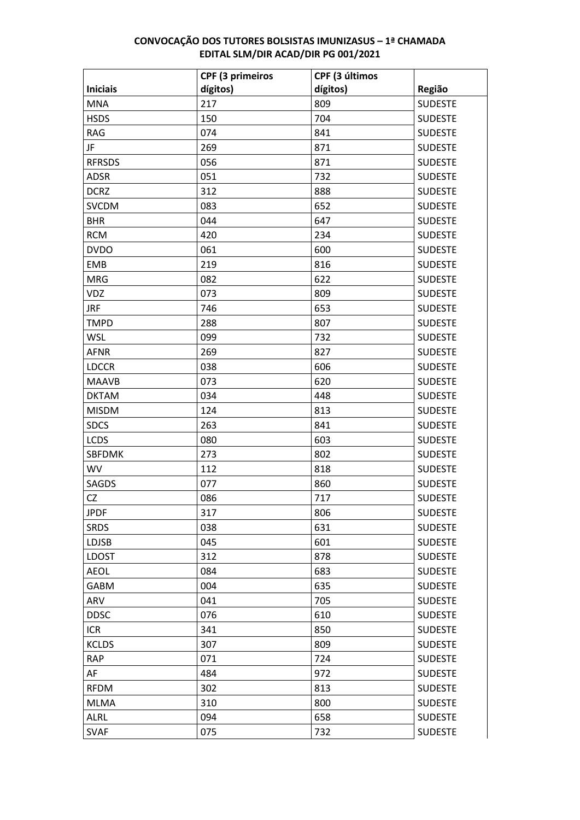|                 | <b>CPF (3 primeiros</b> | CPF (3 últimos |                |
|-----------------|-------------------------|----------------|----------------|
| <b>Iniciais</b> | dígitos)                | dígitos)       | Região         |
| <b>MNA</b>      | 217                     | 809            | <b>SUDESTE</b> |
| <b>HSDS</b>     | 150                     | 704            | <b>SUDESTE</b> |
| <b>RAG</b>      | 074                     | 841            | <b>SUDESTE</b> |
| JF              | 269                     | 871            | <b>SUDESTE</b> |
| <b>RFRSDS</b>   | 056                     | 871            | <b>SUDESTE</b> |
| <b>ADSR</b>     | 051                     | 732            | <b>SUDESTE</b> |
| <b>DCRZ</b>     | 312                     | 888            | <b>SUDESTE</b> |
| <b>SVCDM</b>    | 083                     | 652            | <b>SUDESTE</b> |
| <b>BHR</b>      | 044                     | 647            | <b>SUDESTE</b> |
| <b>RCM</b>      | 420                     | 234            | <b>SUDESTE</b> |
| <b>DVDO</b>     | 061                     | 600            | <b>SUDESTE</b> |
| <b>EMB</b>      | 219                     | 816            | <b>SUDESTE</b> |
| <b>MRG</b>      | 082                     | 622            | <b>SUDESTE</b> |
| <b>VDZ</b>      | 073                     | 809            | <b>SUDESTE</b> |
| <b>JRF</b>      | 746                     | 653            | <b>SUDESTE</b> |
| <b>TMPD</b>     | 288                     | 807            | <b>SUDESTE</b> |
| <b>WSL</b>      | 099                     | 732            | <b>SUDESTE</b> |
| <b>AFNR</b>     | 269                     | 827            | <b>SUDESTE</b> |
| <b>LDCCR</b>    | 038                     | 606            | <b>SUDESTE</b> |
| <b>MAAVB</b>    | 073                     | 620            | <b>SUDESTE</b> |
| <b>DKTAM</b>    | 034                     | 448            | <b>SUDESTE</b> |
| <b>MISDM</b>    | 124                     | 813            | <b>SUDESTE</b> |
| <b>SDCS</b>     | 263                     | 841            | <b>SUDESTE</b> |
| <b>LCDS</b>     | 080                     | 603            | <b>SUDESTE</b> |
| <b>SBFDMK</b>   | 273                     | 802            | <b>SUDESTE</b> |
| WV              | 112                     | 818            | <b>SUDESTE</b> |
| SAGDS           | 077                     | 860            | <b>SUDESTE</b> |
| <b>CZ</b>       | 086                     | 717            | <b>SUDESTE</b> |
| <b>JPDF</b>     | 317                     | 806            | <b>SUDESTE</b> |
| <b>SRDS</b>     | 038                     | 631            | <b>SUDESTE</b> |
| LDJSB           | 045                     | 601            | <b>SUDESTE</b> |
| <b>LDOST</b>    | 312                     | 878            | <b>SUDESTE</b> |
| <b>AEOL</b>     | 084                     | 683            | <b>SUDESTE</b> |
| <b>GABM</b>     | 004                     | 635            | <b>SUDESTE</b> |
| ARV             | 041                     | 705            | <b>SUDESTE</b> |
| <b>DDSC</b>     | 076                     | 610            | <b>SUDESTE</b> |
| <b>ICR</b>      | 341                     | 850            | <b>SUDESTE</b> |
| <b>KCLDS</b>    | 307                     | 809            | <b>SUDESTE</b> |
| <b>RAP</b>      | 071                     | 724            | <b>SUDESTE</b> |
| AF              | 484                     | 972            | <b>SUDESTE</b> |
| <b>RFDM</b>     | 302                     | 813            | <b>SUDESTE</b> |
| <b>MLMA</b>     | 310                     | 800            | <b>SUDESTE</b> |
| <b>ALRL</b>     | 094                     | 658            | <b>SUDESTE</b> |
| <b>SVAF</b>     | 075                     | 732            | <b>SUDESTE</b> |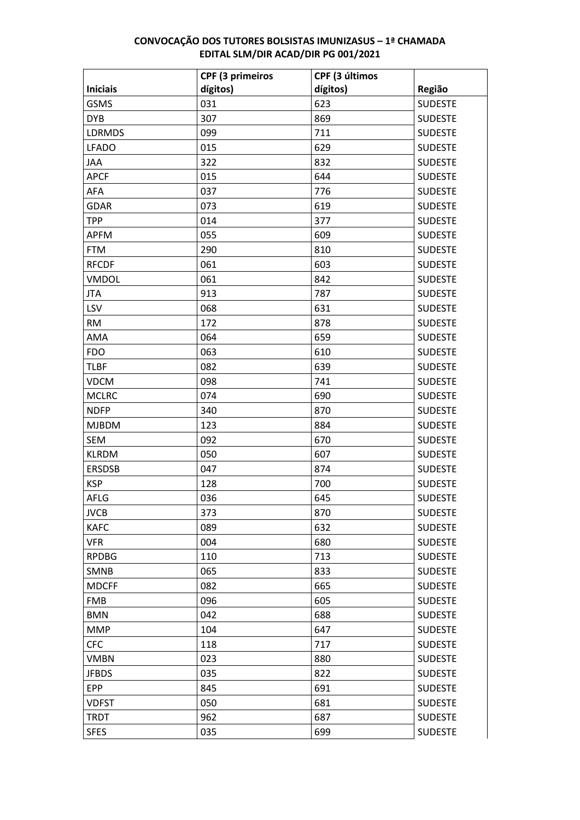|                 | <b>CPF (3 primeiros</b> | CPF (3 últimos |                |
|-----------------|-------------------------|----------------|----------------|
| <b>Iniciais</b> | dígitos)                | dígitos)       | Região         |
| <b>GSMS</b>     | 031                     | 623            | <b>SUDESTE</b> |
| <b>DYB</b>      | 307                     | 869            | <b>SUDESTE</b> |
| <b>LDRMDS</b>   | 099                     | 711            | <b>SUDESTE</b> |
| <b>LFADO</b>    | 015                     | 629            | <b>SUDESTE</b> |
| JAA             | 322                     | 832            | <b>SUDESTE</b> |
| <b>APCF</b>     | 015                     | 644            | <b>SUDESTE</b> |
| AFA             | 037                     | 776            | <b>SUDESTE</b> |
| <b>GDAR</b>     | 073                     | 619            | <b>SUDESTE</b> |
| <b>TPP</b>      | 014                     | 377            | <b>SUDESTE</b> |
| <b>APFM</b>     | 055                     | 609            | <b>SUDESTE</b> |
| <b>FTM</b>      | 290                     | 810            | <b>SUDESTE</b> |
| <b>RFCDF</b>    | 061                     | 603            | <b>SUDESTE</b> |
| <b>VMDOL</b>    | 061                     | 842            | <b>SUDESTE</b> |
| <b>JTA</b>      | 913                     | 787            | <b>SUDESTE</b> |
| LSV             | 068                     | 631            | <b>SUDESTE</b> |
| <b>RM</b>       | 172                     | 878            | <b>SUDESTE</b> |
| AMA             | 064                     | 659            | <b>SUDESTE</b> |
| <b>FDO</b>      | 063                     | 610            | <b>SUDESTE</b> |
| <b>TLBF</b>     | 082                     | 639            | <b>SUDESTE</b> |
| <b>VDCM</b>     | 098                     | 741            | <b>SUDESTE</b> |
| <b>MCLRC</b>    | 074                     | 690            | <b>SUDESTE</b> |
| <b>NDFP</b>     | 340                     | 870            | <b>SUDESTE</b> |
| <b>MJBDM</b>    | 123                     | 884            | <b>SUDESTE</b> |
| <b>SEM</b>      | 092                     | 670            | <b>SUDESTE</b> |
| <b>KLRDM</b>    | 050                     | 607            | <b>SUDESTE</b> |
| <b>ERSDSB</b>   | 047                     | 874            | <b>SUDESTE</b> |
| <b>KSP</b>      | 128                     | 700            | <b>SUDESTE</b> |
| AFLG            | 036                     | 645            | <b>SUDESTE</b> |
| <b>JVCB</b>     | 373                     | 870            | <b>SUDESTE</b> |
| <b>KAFC</b>     | 089                     | 632            | <b>SUDESTE</b> |
| <b>VFR</b>      | 004                     | 680            | <b>SUDESTE</b> |
| <b>RPDBG</b>    | 110                     | 713            | <b>SUDESTE</b> |
| <b>SMNB</b>     | 065                     | 833            | <b>SUDESTE</b> |
| <b>MDCFF</b>    | 082                     | 665            | <b>SUDESTE</b> |
| <b>FMB</b>      | 096                     | 605            | <b>SUDESTE</b> |
| <b>BMN</b>      | 042                     | 688            | <b>SUDESTE</b> |
| <b>MMP</b>      | 104                     | 647            | <b>SUDESTE</b> |
| <b>CFC</b>      | 118                     | 717            | <b>SUDESTE</b> |
| <b>VMBN</b>     | 023                     | 880            | <b>SUDESTE</b> |
| <b>JFBDS</b>    | 035                     | 822            | <b>SUDESTE</b> |
| <b>EPP</b>      | 845                     | 691            | <b>SUDESTE</b> |
| <b>VDFST</b>    | 050                     | 681            | <b>SUDESTE</b> |
| <b>TRDT</b>     | 962                     | 687            | <b>SUDESTE</b> |
| <b>SFES</b>     | 035                     | 699            | <b>SUDESTE</b> |
|                 |                         |                |                |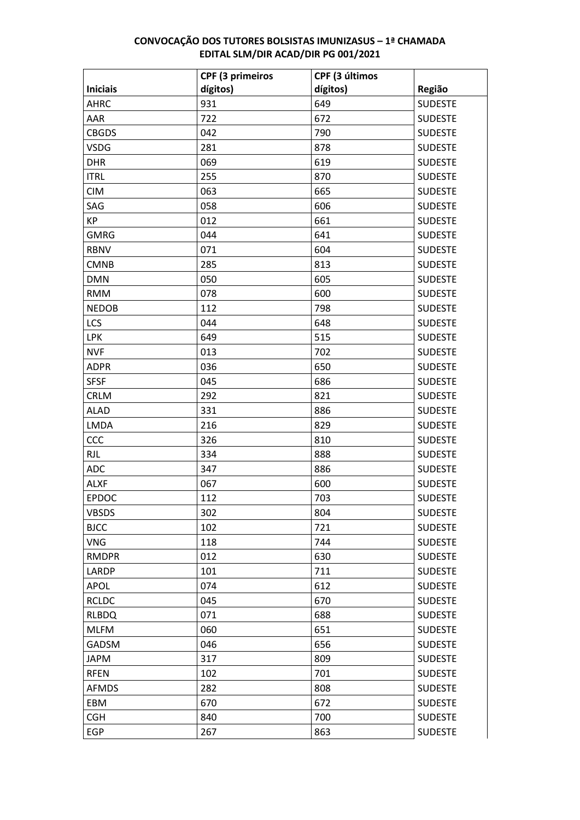|                 | <b>CPF (3 primeiros</b> | CPF (3 últimos |                |
|-----------------|-------------------------|----------------|----------------|
| <b>Iniciais</b> | dígitos)                | dígitos)       | Região         |
| <b>AHRC</b>     | 931                     | 649            | <b>SUDESTE</b> |
| AAR             | 722                     | 672            | <b>SUDESTE</b> |
| <b>CBGDS</b>    | 042                     | 790            | <b>SUDESTE</b> |
| <b>VSDG</b>     | 281                     | 878            | <b>SUDESTE</b> |
| <b>DHR</b>      | 069                     | 619            | <b>SUDESTE</b> |
| <b>ITRL</b>     | 255                     | 870            | <b>SUDESTE</b> |
| <b>CIM</b>      | 063                     | 665            | <b>SUDESTE</b> |
| SAG             | 058                     | 606            | <b>SUDESTE</b> |
| KP              | 012                     | 661            | <b>SUDESTE</b> |
| <b>GMRG</b>     | 044                     | 641            | <b>SUDESTE</b> |
| <b>RBNV</b>     | 071                     | 604            | <b>SUDESTE</b> |
| <b>CMNB</b>     | 285                     | 813            | <b>SUDESTE</b> |
| <b>DMN</b>      | 050                     | 605            | <b>SUDESTE</b> |
| <b>RMM</b>      | 078                     | 600            | <b>SUDESTE</b> |
| <b>NEDOB</b>    | 112                     | 798            | <b>SUDESTE</b> |
| LCS             | 044                     | 648            | <b>SUDESTE</b> |
| <b>LPK</b>      | 649                     | 515            | <b>SUDESTE</b> |
| <b>NVF</b>      | 013                     | 702            | <b>SUDESTE</b> |
| <b>ADPR</b>     | 036                     | 650            | <b>SUDESTE</b> |
| <b>SFSF</b>     | 045                     | 686            | <b>SUDESTE</b> |
| <b>CRLM</b>     | 292                     | 821            | <b>SUDESTE</b> |
| <b>ALAD</b>     | 331                     | 886            | <b>SUDESTE</b> |
| <b>LMDA</b>     | 216                     | 829            | <b>SUDESTE</b> |
| CCC             | 326                     | 810            | <b>SUDESTE</b> |
| <b>RJL</b>      | 334                     | 888            | <b>SUDESTE</b> |
| <b>ADC</b>      | 347                     | 886            | <b>SUDESTE</b> |
| <b>ALXF</b>     | 067                     | 600            | <b>SUDESTE</b> |
| <b>EPDOC</b>    | 112                     | 703            | <b>SUDESTE</b> |
| <b>VBSDS</b>    | 302                     | 804            | <b>SUDESTE</b> |
| <b>BJCC</b>     | 102                     | 721            | <b>SUDESTE</b> |
| <b>VNG</b>      | 118                     | 744            | <b>SUDESTE</b> |
| <b>RMDPR</b>    | 012                     | 630            | <b>SUDESTE</b> |
| LARDP           | 101                     | 711            | <b>SUDESTE</b> |
| <b>APOL</b>     | 074                     | 612            | <b>SUDESTE</b> |
| <b>RCLDC</b>    | 045                     | 670            | <b>SUDESTE</b> |
| <b>RLBDQ</b>    | 071                     | 688            | <b>SUDESTE</b> |
| <b>MLFM</b>     | 060                     | 651            | <b>SUDESTE</b> |
| GADSM           | 046                     | 656            | <b>SUDESTE</b> |
| <b>JAPM</b>     | 317                     | 809            | <b>SUDESTE</b> |
| <b>RFEN</b>     | 102                     | 701            | <b>SUDESTE</b> |
| <b>AFMDS</b>    | 282                     | 808            | <b>SUDESTE</b> |
| EBM             | 670                     | 672            | <b>SUDESTE</b> |
| <b>CGH</b>      | 840                     | 700            | <b>SUDESTE</b> |
| <b>EGP</b>      | 267                     | 863            | <b>SUDESTE</b> |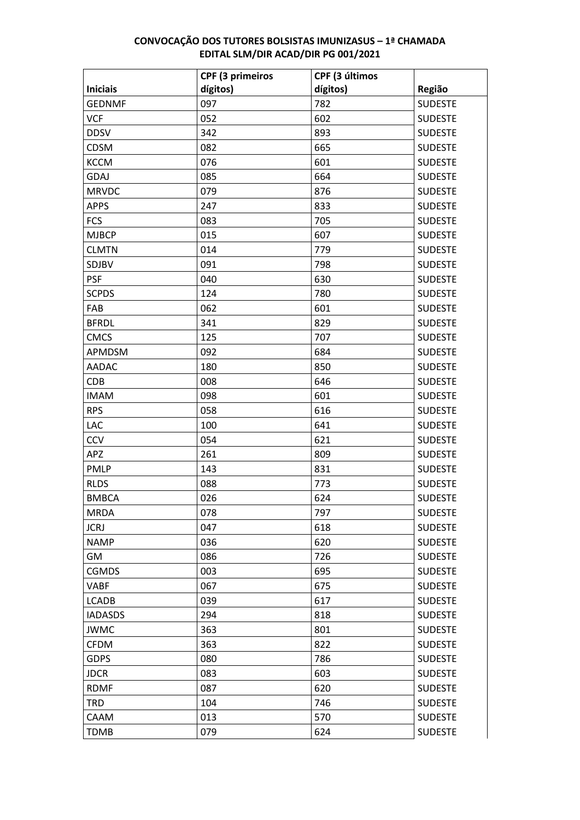|                 | <b>CPF (3 primeiros</b> | CPF (3 últimos |                |
|-----------------|-------------------------|----------------|----------------|
| <b>Iniciais</b> | dígitos)                | dígitos)       | Região         |
| <b>GEDNMF</b>   | 097                     | 782            | <b>SUDESTE</b> |
| <b>VCF</b>      | 052                     | 602            | <b>SUDESTE</b> |
| <b>DDSV</b>     | 342                     | 893            | <b>SUDESTE</b> |
| CDSM            | 082                     | 665            | <b>SUDESTE</b> |
| <b>KCCM</b>     | 076                     | 601            | <b>SUDESTE</b> |
| <b>GDAJ</b>     | 085                     | 664            | <b>SUDESTE</b> |
| <b>MRVDC</b>    | 079                     | 876            | <b>SUDESTE</b> |
| <b>APPS</b>     | 247                     | 833            | <b>SUDESTE</b> |
| <b>FCS</b>      | 083                     | 705            | <b>SUDESTE</b> |
| <b>MJBCP</b>    | 015                     | 607            | <b>SUDESTE</b> |
| <b>CLMTN</b>    | 014                     | 779            | <b>SUDESTE</b> |
| SDJBV           | 091                     | 798            | <b>SUDESTE</b> |
| <b>PSF</b>      | 040                     | 630            | <b>SUDESTE</b> |
| <b>SCPDS</b>    | 124                     | 780            | <b>SUDESTE</b> |
| FAB             | 062                     | 601            | <b>SUDESTE</b> |
| <b>BFRDL</b>    | 341                     | 829            | <b>SUDESTE</b> |
| <b>CMCS</b>     | 125                     | 707            | <b>SUDESTE</b> |
| APMDSM          | 092                     | 684            | <b>SUDESTE</b> |
| <b>AADAC</b>    | 180                     | 850            | <b>SUDESTE</b> |
| <b>CDB</b>      | 008                     | 646            | <b>SUDESTE</b> |
| <b>IMAM</b>     | 098                     | 601            | <b>SUDESTE</b> |
| <b>RPS</b>      | 058                     | 616            | <b>SUDESTE</b> |
| LAC             | 100                     | 641            | <b>SUDESTE</b> |
| CCV             | 054                     | 621            | <b>SUDESTE</b> |
| APZ             | 261                     | 809            | <b>SUDESTE</b> |
| <b>PMLP</b>     | 143                     | 831            | <b>SUDESTE</b> |
| <b>RLDS</b>     | 088                     | 773            | <b>SUDESTE</b> |
| <b>BMBCA</b>    | 026                     | 624            | <b>SUDESTE</b> |
| <b>MRDA</b>     | 078                     | 797            | <b>SUDESTE</b> |
| <b>JCRJ</b>     | 047                     | 618            | <b>SUDESTE</b> |
| <b>NAMP</b>     | 036                     | 620            | <b>SUDESTE</b> |
| GM              | 086                     | 726            | <b>SUDESTE</b> |
| <b>CGMDS</b>    | 003                     | 695            | <b>SUDESTE</b> |
| <b>VABF</b>     | 067                     | 675            | <b>SUDESTE</b> |
| LCADB           | 039                     | 617            | <b>SUDESTE</b> |
| <b>IADASDS</b>  | 294                     | 818            | <b>SUDESTE</b> |
| <b>JWMC</b>     | 363                     | 801            | <b>SUDESTE</b> |
| <b>CFDM</b>     | 363                     | 822            | <b>SUDESTE</b> |
| <b>GDPS</b>     | 080                     | 786            | <b>SUDESTE</b> |
| <b>JDCR</b>     | 083                     | 603            | <b>SUDESTE</b> |
| <b>RDMF</b>     | 087                     | 620            | <b>SUDESTE</b> |
| <b>TRD</b>      | 104                     | 746            | <b>SUDESTE</b> |
| CAAM            | 013                     | 570            | <b>SUDESTE</b> |
| <b>TDMB</b>     | 079                     | 624            | <b>SUDESTE</b> |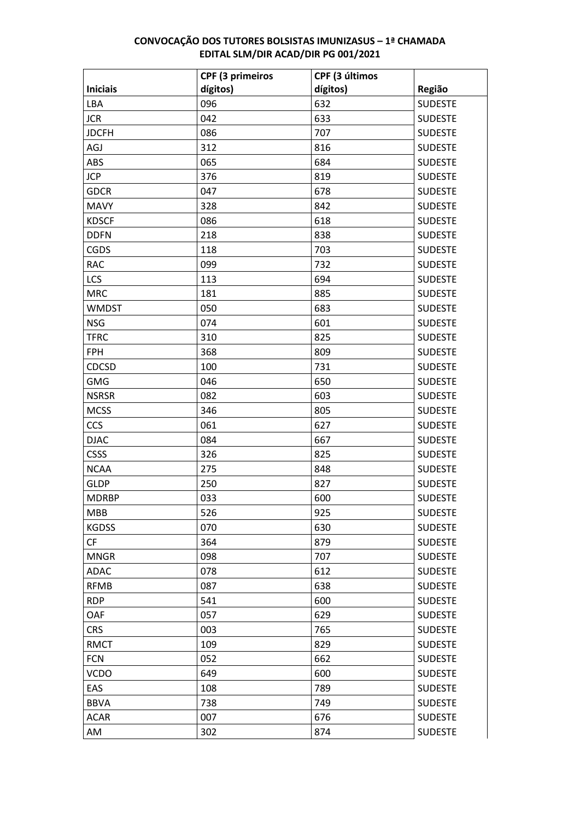| dígitos)<br>dígitos)<br><b>Iniciais</b><br>Região<br>096<br>632<br><b>SUDESTE</b><br>LBA<br><b>SUDESTE</b><br><b>JCR</b><br>042<br>633<br><b>SUDESTE</b><br><b>JDCFH</b><br>086<br>707<br><b>SUDESTE</b><br>AGJ<br>312<br>816<br>065<br><b>SUDESTE</b><br>ABS<br>684<br><b>JCP</b><br><b>SUDESTE</b><br>376<br>819<br><b>SUDESTE</b><br><b>GDCR</b><br>047<br>678<br><b>MAVY</b><br>328<br>842<br><b>SUDESTE</b><br><b>SUDESTE</b><br><b>KDSCF</b><br>086<br>618<br><b>SUDESTE</b><br><b>DDFN</b><br>218<br>838<br>703<br><b>SUDESTE</b><br>118<br><b>CGDS</b><br><b>RAC</b><br>099<br>732<br><b>SUDESTE</b><br>LCS<br>113<br><b>SUDESTE</b><br>694<br><b>SUDESTE</b><br><b>MRC</b><br>181<br>885<br>683<br><b>SUDESTE</b><br><b>WMDST</b><br>050<br><b>NSG</b><br>074<br>601<br><b>SUDESTE</b><br>825<br><b>SUDESTE</b><br><b>TFRC</b><br>310<br><b>SUDESTE</b><br><b>FPH</b><br>368<br>809<br>731<br><b>SUDESTE</b><br><b>CDCSD</b><br>100<br><b>GMG</b><br>046<br>650<br><b>SUDESTE</b><br>082<br><b>SUDESTE</b><br>603<br><b>NSRSR</b><br><b>SUDESTE</b><br><b>MCSS</b><br>346<br>805<br><b>CCS</b><br>061<br>627<br><b>SUDESTE</b><br><b>DJAC</b><br>084<br>667<br><b>SUDESTE</b><br><b>CSSS</b><br>326<br>825<br><b>SUDESTE</b><br><b>SUDESTE</b><br><b>NCAA</b><br>275<br>848 |             | <b>CPF (3 primeiros</b> | CPF (3 últimos |                |
|--------------------------------------------------------------------------------------------------------------------------------------------------------------------------------------------------------------------------------------------------------------------------------------------------------------------------------------------------------------------------------------------------------------------------------------------------------------------------------------------------------------------------------------------------------------------------------------------------------------------------------------------------------------------------------------------------------------------------------------------------------------------------------------------------------------------------------------------------------------------------------------------------------------------------------------------------------------------------------------------------------------------------------------------------------------------------------------------------------------------------------------------------------------------------------------------------------------------------------------------------------------------------------------|-------------|-------------------------|----------------|----------------|
|                                                                                                                                                                                                                                                                                                                                                                                                                                                                                                                                                                                                                                                                                                                                                                                                                                                                                                                                                                                                                                                                                                                                                                                                                                                                                      |             |                         |                |                |
|                                                                                                                                                                                                                                                                                                                                                                                                                                                                                                                                                                                                                                                                                                                                                                                                                                                                                                                                                                                                                                                                                                                                                                                                                                                                                      |             |                         |                |                |
|                                                                                                                                                                                                                                                                                                                                                                                                                                                                                                                                                                                                                                                                                                                                                                                                                                                                                                                                                                                                                                                                                                                                                                                                                                                                                      |             |                         |                |                |
|                                                                                                                                                                                                                                                                                                                                                                                                                                                                                                                                                                                                                                                                                                                                                                                                                                                                                                                                                                                                                                                                                                                                                                                                                                                                                      |             |                         |                |                |
|                                                                                                                                                                                                                                                                                                                                                                                                                                                                                                                                                                                                                                                                                                                                                                                                                                                                                                                                                                                                                                                                                                                                                                                                                                                                                      |             |                         |                |                |
|                                                                                                                                                                                                                                                                                                                                                                                                                                                                                                                                                                                                                                                                                                                                                                                                                                                                                                                                                                                                                                                                                                                                                                                                                                                                                      |             |                         |                |                |
|                                                                                                                                                                                                                                                                                                                                                                                                                                                                                                                                                                                                                                                                                                                                                                                                                                                                                                                                                                                                                                                                                                                                                                                                                                                                                      |             |                         |                |                |
|                                                                                                                                                                                                                                                                                                                                                                                                                                                                                                                                                                                                                                                                                                                                                                                                                                                                                                                                                                                                                                                                                                                                                                                                                                                                                      |             |                         |                |                |
|                                                                                                                                                                                                                                                                                                                                                                                                                                                                                                                                                                                                                                                                                                                                                                                                                                                                                                                                                                                                                                                                                                                                                                                                                                                                                      |             |                         |                |                |
|                                                                                                                                                                                                                                                                                                                                                                                                                                                                                                                                                                                                                                                                                                                                                                                                                                                                                                                                                                                                                                                                                                                                                                                                                                                                                      |             |                         |                |                |
|                                                                                                                                                                                                                                                                                                                                                                                                                                                                                                                                                                                                                                                                                                                                                                                                                                                                                                                                                                                                                                                                                                                                                                                                                                                                                      |             |                         |                |                |
|                                                                                                                                                                                                                                                                                                                                                                                                                                                                                                                                                                                                                                                                                                                                                                                                                                                                                                                                                                                                                                                                                                                                                                                                                                                                                      |             |                         |                |                |
|                                                                                                                                                                                                                                                                                                                                                                                                                                                                                                                                                                                                                                                                                                                                                                                                                                                                                                                                                                                                                                                                                                                                                                                                                                                                                      |             |                         |                |                |
|                                                                                                                                                                                                                                                                                                                                                                                                                                                                                                                                                                                                                                                                                                                                                                                                                                                                                                                                                                                                                                                                                                                                                                                                                                                                                      |             |                         |                |                |
|                                                                                                                                                                                                                                                                                                                                                                                                                                                                                                                                                                                                                                                                                                                                                                                                                                                                                                                                                                                                                                                                                                                                                                                                                                                                                      |             |                         |                |                |
|                                                                                                                                                                                                                                                                                                                                                                                                                                                                                                                                                                                                                                                                                                                                                                                                                                                                                                                                                                                                                                                                                                                                                                                                                                                                                      |             |                         |                |                |
|                                                                                                                                                                                                                                                                                                                                                                                                                                                                                                                                                                                                                                                                                                                                                                                                                                                                                                                                                                                                                                                                                                                                                                                                                                                                                      |             |                         |                |                |
|                                                                                                                                                                                                                                                                                                                                                                                                                                                                                                                                                                                                                                                                                                                                                                                                                                                                                                                                                                                                                                                                                                                                                                                                                                                                                      |             |                         |                |                |
|                                                                                                                                                                                                                                                                                                                                                                                                                                                                                                                                                                                                                                                                                                                                                                                                                                                                                                                                                                                                                                                                                                                                                                                                                                                                                      |             |                         |                |                |
|                                                                                                                                                                                                                                                                                                                                                                                                                                                                                                                                                                                                                                                                                                                                                                                                                                                                                                                                                                                                                                                                                                                                                                                                                                                                                      |             |                         |                |                |
|                                                                                                                                                                                                                                                                                                                                                                                                                                                                                                                                                                                                                                                                                                                                                                                                                                                                                                                                                                                                                                                                                                                                                                                                                                                                                      |             |                         |                |                |
|                                                                                                                                                                                                                                                                                                                                                                                                                                                                                                                                                                                                                                                                                                                                                                                                                                                                                                                                                                                                                                                                                                                                                                                                                                                                                      |             |                         |                |                |
|                                                                                                                                                                                                                                                                                                                                                                                                                                                                                                                                                                                                                                                                                                                                                                                                                                                                                                                                                                                                                                                                                                                                                                                                                                                                                      |             |                         |                |                |
|                                                                                                                                                                                                                                                                                                                                                                                                                                                                                                                                                                                                                                                                                                                                                                                                                                                                                                                                                                                                                                                                                                                                                                                                                                                                                      |             |                         |                |                |
|                                                                                                                                                                                                                                                                                                                                                                                                                                                                                                                                                                                                                                                                                                                                                                                                                                                                                                                                                                                                                                                                                                                                                                                                                                                                                      |             |                         |                |                |
|                                                                                                                                                                                                                                                                                                                                                                                                                                                                                                                                                                                                                                                                                                                                                                                                                                                                                                                                                                                                                                                                                                                                                                                                                                                                                      |             |                         |                |                |
|                                                                                                                                                                                                                                                                                                                                                                                                                                                                                                                                                                                                                                                                                                                                                                                                                                                                                                                                                                                                                                                                                                                                                                                                                                                                                      |             |                         |                |                |
|                                                                                                                                                                                                                                                                                                                                                                                                                                                                                                                                                                                                                                                                                                                                                                                                                                                                                                                                                                                                                                                                                                                                                                                                                                                                                      | <b>GLDP</b> | 250                     | 827            | <b>SUDESTE</b> |
| <b>MDRBP</b><br>033<br><b>SUDESTE</b><br>600                                                                                                                                                                                                                                                                                                                                                                                                                                                                                                                                                                                                                                                                                                                                                                                                                                                                                                                                                                                                                                                                                                                                                                                                                                         |             |                         |                |                |
| 526<br>925<br><b>MBB</b><br><b>SUDESTE</b>                                                                                                                                                                                                                                                                                                                                                                                                                                                                                                                                                                                                                                                                                                                                                                                                                                                                                                                                                                                                                                                                                                                                                                                                                                           |             |                         |                |                |
| <b>KGDSS</b><br>070<br>630<br><b>SUDESTE</b>                                                                                                                                                                                                                                                                                                                                                                                                                                                                                                                                                                                                                                                                                                                                                                                                                                                                                                                                                                                                                                                                                                                                                                                                                                         |             |                         |                |                |
| 364<br>879<br><b>SUDESTE</b><br><b>CF</b>                                                                                                                                                                                                                                                                                                                                                                                                                                                                                                                                                                                                                                                                                                                                                                                                                                                                                                                                                                                                                                                                                                                                                                                                                                            |             |                         |                |                |
| 707<br><b>SUDESTE</b><br><b>MNGR</b><br>098                                                                                                                                                                                                                                                                                                                                                                                                                                                                                                                                                                                                                                                                                                                                                                                                                                                                                                                                                                                                                                                                                                                                                                                                                                          |             |                         |                |                |
| 078<br>612<br><b>SUDESTE</b><br>ADAC                                                                                                                                                                                                                                                                                                                                                                                                                                                                                                                                                                                                                                                                                                                                                                                                                                                                                                                                                                                                                                                                                                                                                                                                                                                 |             |                         |                |                |
| <b>SUDESTE</b><br><b>RFMB</b><br>087<br>638                                                                                                                                                                                                                                                                                                                                                                                                                                                                                                                                                                                                                                                                                                                                                                                                                                                                                                                                                                                                                                                                                                                                                                                                                                          |             |                         |                |                |
| 541<br>600<br><b>SUDESTE</b><br><b>RDP</b>                                                                                                                                                                                                                                                                                                                                                                                                                                                                                                                                                                                                                                                                                                                                                                                                                                                                                                                                                                                                                                                                                                                                                                                                                                           |             |                         |                |                |
| OAF<br><b>SUDESTE</b><br>057<br>629                                                                                                                                                                                                                                                                                                                                                                                                                                                                                                                                                                                                                                                                                                                                                                                                                                                                                                                                                                                                                                                                                                                                                                                                                                                  |             |                         |                |                |
| 003<br>765<br><b>SUDESTE</b><br><b>CRS</b>                                                                                                                                                                                                                                                                                                                                                                                                                                                                                                                                                                                                                                                                                                                                                                                                                                                                                                                                                                                                                                                                                                                                                                                                                                           |             |                         |                |                |
| <b>RMCT</b><br>829<br><b>SUDESTE</b><br>109                                                                                                                                                                                                                                                                                                                                                                                                                                                                                                                                                                                                                                                                                                                                                                                                                                                                                                                                                                                                                                                                                                                                                                                                                                          |             |                         |                |                |
| 052<br><b>SUDESTE</b><br><b>FCN</b><br>662                                                                                                                                                                                                                                                                                                                                                                                                                                                                                                                                                                                                                                                                                                                                                                                                                                                                                                                                                                                                                                                                                                                                                                                                                                           |             |                         |                |                |
| <b>VCDO</b><br><b>SUDESTE</b><br>649<br>600                                                                                                                                                                                                                                                                                                                                                                                                                                                                                                                                                                                                                                                                                                                                                                                                                                                                                                                                                                                                                                                                                                                                                                                                                                          |             |                         |                |                |
| 108<br>789<br><b>SUDESTE</b><br>EAS                                                                                                                                                                                                                                                                                                                                                                                                                                                                                                                                                                                                                                                                                                                                                                                                                                                                                                                                                                                                                                                                                                                                                                                                                                                  |             |                         |                |                |
| <b>SUDESTE</b><br><b>BBVA</b><br>738<br>749                                                                                                                                                                                                                                                                                                                                                                                                                                                                                                                                                                                                                                                                                                                                                                                                                                                                                                                                                                                                                                                                                                                                                                                                                                          |             |                         |                |                |
| 007<br><b>SUDESTE</b><br>676<br>ACAR                                                                                                                                                                                                                                                                                                                                                                                                                                                                                                                                                                                                                                                                                                                                                                                                                                                                                                                                                                                                                                                                                                                                                                                                                                                 |             |                         |                |                |
| <b>SUDESTE</b><br>AM<br>302<br>874                                                                                                                                                                                                                                                                                                                                                                                                                                                                                                                                                                                                                                                                                                                                                                                                                                                                                                                                                                                                                                                                                                                                                                                                                                                   |             |                         |                |                |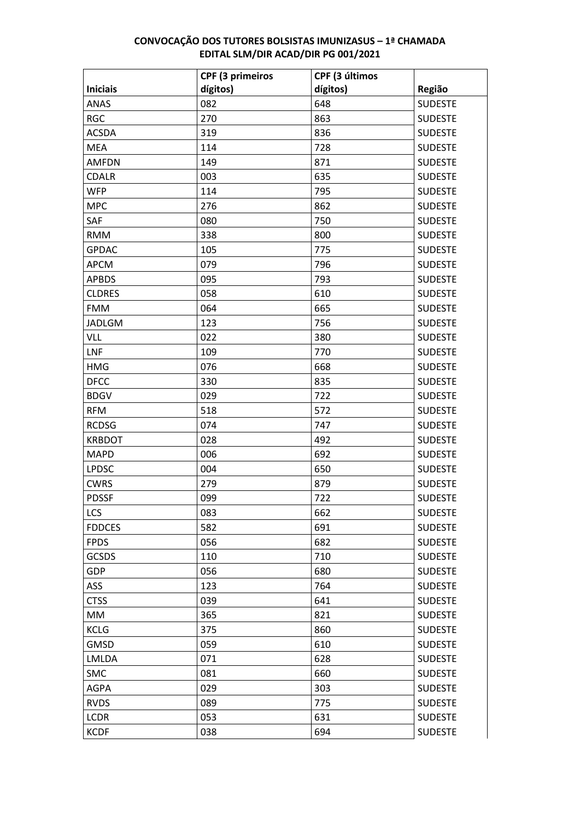|                 | <b>CPF (3 primeiros</b> | CPF (3 últimos |                |
|-----------------|-------------------------|----------------|----------------|
| <b>Iniciais</b> | dígitos)                | dígitos)       | Região         |
| <b>ANAS</b>     | 082                     | 648            | <b>SUDESTE</b> |
| <b>RGC</b>      | 270                     | 863            | <b>SUDESTE</b> |
| <b>ACSDA</b>    | 319                     | 836            | <b>SUDESTE</b> |
| <b>MEA</b>      | 114                     | 728            | <b>SUDESTE</b> |
| <b>AMFDN</b>    | 149                     | 871            | <b>SUDESTE</b> |
| <b>CDALR</b>    | 003                     | 635            | <b>SUDESTE</b> |
| <b>WFP</b>      | 114                     | 795            | <b>SUDESTE</b> |
| <b>MPC</b>      | 276                     | 862            | <b>SUDESTE</b> |
| SAF             | 080                     | 750            | <b>SUDESTE</b> |
| <b>RMM</b>      | 338                     | 800            | <b>SUDESTE</b> |
| <b>GPDAC</b>    | 105                     | 775            | <b>SUDESTE</b> |
| <b>APCM</b>     | 079                     | 796            | <b>SUDESTE</b> |
| <b>APBDS</b>    | 095                     | 793            | <b>SUDESTE</b> |
| <b>CLDRES</b>   | 058                     | 610            | <b>SUDESTE</b> |
| <b>FMM</b>      | 064                     | 665            | <b>SUDESTE</b> |
| <b>JADLGM</b>   | 123                     | 756            | <b>SUDESTE</b> |
| VLL             | 022                     | 380            | <b>SUDESTE</b> |
| LNF             | 109                     | 770            | <b>SUDESTE</b> |
| <b>HMG</b>      | 076                     | 668            | <b>SUDESTE</b> |
| <b>DFCC</b>     | 330                     | 835            | <b>SUDESTE</b> |
| <b>BDGV</b>     | 029                     | 722            | <b>SUDESTE</b> |
| <b>RFM</b>      | 518                     | 572            | <b>SUDESTE</b> |
| <b>RCDSG</b>    | 074                     | 747            | <b>SUDESTE</b> |
| <b>KRBDOT</b>   | 028                     | 492            | <b>SUDESTE</b> |
| <b>MAPD</b>     | 006                     | 692            | <b>SUDESTE</b> |
| <b>LPDSC</b>    | 004                     | 650            | <b>SUDESTE</b> |
| <b>CWRS</b>     | 279                     | 879            | <b>SUDESTE</b> |
| <b>PDSSF</b>    | 099                     | 722            | <b>SUDESTE</b> |
| LCS             | 083                     | 662            | <b>SUDESTE</b> |
| <b>FDDCES</b>   | 582                     | 691            | <b>SUDESTE</b> |
| <b>FPDS</b>     | 056                     | 682            | <b>SUDESTE</b> |
| <b>GCSDS</b>    | 110                     | 710            | <b>SUDESTE</b> |
| GDP             | 056                     | 680            | <b>SUDESTE</b> |
| <b>ASS</b>      | 123                     | 764            | <b>SUDESTE</b> |
| <b>CTSS</b>     | 039                     | 641            | <b>SUDESTE</b> |
| MM              | 365                     | 821            | <b>SUDESTE</b> |
| <b>KCLG</b>     | 375                     | 860            | <b>SUDESTE</b> |
| <b>GMSD</b>     | 059                     | 610            | <b>SUDESTE</b> |
| LMLDA           | 071                     | 628            | <b>SUDESTE</b> |
| <b>SMC</b>      | 081                     | 660            | <b>SUDESTE</b> |
| <b>AGPA</b>     | 029                     | 303            | <b>SUDESTE</b> |
| <b>RVDS</b>     | 089                     | 775            | <b>SUDESTE</b> |
| <b>LCDR</b>     | 053                     | 631            | <b>SUDESTE</b> |
| <b>KCDF</b>     | 038                     | 694            | <b>SUDESTE</b> |
|                 |                         |                |                |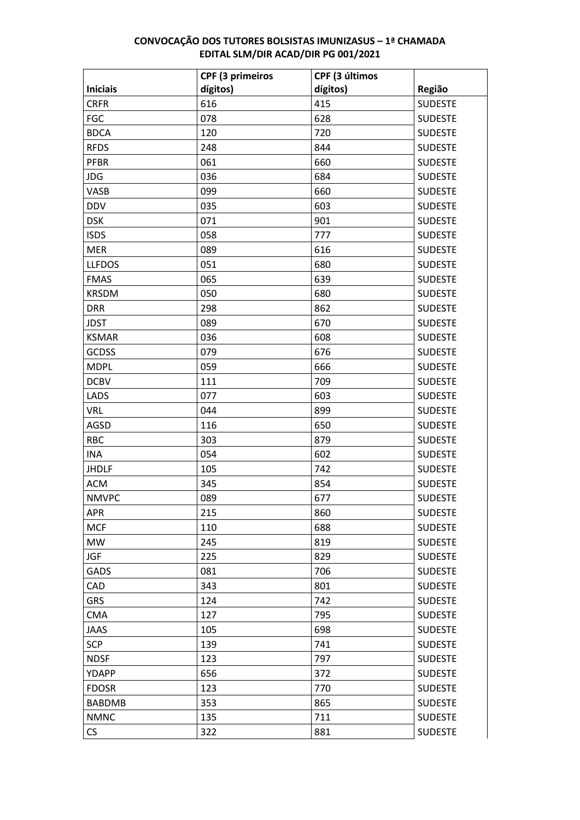|                 | <b>CPF (3 primeiros</b> | CPF (3 últimos |                |
|-----------------|-------------------------|----------------|----------------|
| <b>Iniciais</b> | dígitos)                | dígitos)       | Região         |
| <b>CRFR</b>     | 616                     | 415            | <b>SUDESTE</b> |
| <b>FGC</b>      | 078                     | 628            | <b>SUDESTE</b> |
| <b>BDCA</b>     | 120                     | 720            | <b>SUDESTE</b> |
| <b>RFDS</b>     | 248                     | 844            | <b>SUDESTE</b> |
| <b>PFBR</b>     | 061                     | 660            | <b>SUDESTE</b> |
| JDG             | 036                     | 684            | <b>SUDESTE</b> |
| VASB            | 099                     | 660            | <b>SUDESTE</b> |
| <b>DDV</b>      | 035                     | 603            | <b>SUDESTE</b> |
| <b>DSK</b>      | 071                     | 901            | <b>SUDESTE</b> |
| <b>ISDS</b>     | 058                     | 777            | <b>SUDESTE</b> |
| <b>MER</b>      | 089                     | 616            | <b>SUDESTE</b> |
| <b>LLFDOS</b>   | 051                     | 680            | <b>SUDESTE</b> |
| <b>FMAS</b>     | 065                     | 639            | <b>SUDESTE</b> |
| <b>KRSDM</b>    | 050                     | 680            | <b>SUDESTE</b> |
| <b>DRR</b>      | 298                     | 862            | <b>SUDESTE</b> |
| <b>JDST</b>     | 089                     | 670            | <b>SUDESTE</b> |
| <b>KSMAR</b>    | 036                     | 608            | <b>SUDESTE</b> |
| <b>GCDSS</b>    | 079                     | 676            | <b>SUDESTE</b> |
| <b>MDPL</b>     | 059                     | 666            | <b>SUDESTE</b> |
| <b>DCBV</b>     | 111                     | 709            | <b>SUDESTE</b> |
| LADS            | 077                     | 603            | <b>SUDESTE</b> |
| <b>VRL</b>      | 044                     | 899            | <b>SUDESTE</b> |
| <b>AGSD</b>     | 116                     | 650            | <b>SUDESTE</b> |
| <b>RBC</b>      | 303                     | 879            | <b>SUDESTE</b> |
| <b>INA</b>      | 054                     | 602            | <b>SUDESTE</b> |
| <b>JHDLF</b>    | 105                     | 742            | <b>SUDESTE</b> |
| <b>ACM</b>      | 345                     | 854            | <b>SUDESTE</b> |
| <b>NMVPC</b>    | 089                     | 677            | <b>SUDESTE</b> |
| <b>APR</b>      | 215                     | 860            | <b>SUDESTE</b> |
| <b>MCF</b>      | 110                     | 688            | <b>SUDESTE</b> |
| <b>MW</b>       | 245                     | 819            | <b>SUDESTE</b> |
| <b>JGF</b>      | 225                     | 829            | <b>SUDESTE</b> |
| GADS            | 081                     | 706            | <b>SUDESTE</b> |
| CAD             | 343                     | 801            | <b>SUDESTE</b> |
| <b>GRS</b>      | 124                     | 742            | <b>SUDESTE</b> |
| <b>CMA</b>      | 127                     | 795            | <b>SUDESTE</b> |
| <b>JAAS</b>     | 105                     | 698            | <b>SUDESTE</b> |
| <b>SCP</b>      | 139                     | 741            | <b>SUDESTE</b> |
| <b>NDSF</b>     | 123                     | 797            | <b>SUDESTE</b> |
| YDAPP           | 656                     | 372            | <b>SUDESTE</b> |
| <b>FDOSR</b>    | 123                     | 770            | <b>SUDESTE</b> |
| <b>BABDMB</b>   | 353                     | 865            | <b>SUDESTE</b> |
| <b>NMNC</b>     | 135                     | 711            | <b>SUDESTE</b> |
| <b>CS</b>       | 322                     | 881            | <b>SUDESTE</b> |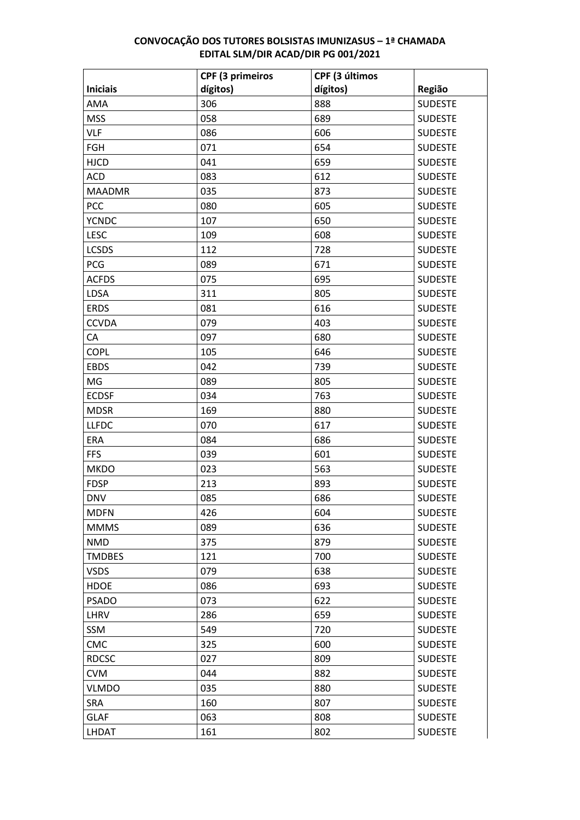|                 | <b>CPF (3 primeiros</b> | CPF (3 últimos |                |
|-----------------|-------------------------|----------------|----------------|
| <b>Iniciais</b> | dígitos)                | dígitos)       | Região         |
| AMA             | 306                     | 888            | <b>SUDESTE</b> |
| <b>MSS</b>      | 058                     | 689            | <b>SUDESTE</b> |
| <b>VLF</b>      | 086                     | 606            | <b>SUDESTE</b> |
| FGH             | 071                     | 654            | <b>SUDESTE</b> |
| <b>HJCD</b>     | 041                     | 659            | <b>SUDESTE</b> |
| <b>ACD</b>      | 083                     | 612            | <b>SUDESTE</b> |
| <b>MAADMR</b>   | 035                     | 873            | <b>SUDESTE</b> |
| PCC             | 080                     | 605            | <b>SUDESTE</b> |
| <b>YCNDC</b>    | 107                     | 650            | <b>SUDESTE</b> |
| <b>LESC</b>     | 109                     | 608            | <b>SUDESTE</b> |
| <b>LCSDS</b>    | 112                     | 728            | <b>SUDESTE</b> |
| <b>PCG</b>      | 089                     | 671            | <b>SUDESTE</b> |
| <b>ACFDS</b>    | 075                     | 695            | <b>SUDESTE</b> |
| LDSA            | 311                     | 805            | <b>SUDESTE</b> |
| <b>ERDS</b>     | 081                     | 616            | <b>SUDESTE</b> |
| <b>CCVDA</b>    | 079                     | 403            | <b>SUDESTE</b> |
| CA              | 097                     | 680            | <b>SUDESTE</b> |
| <b>COPL</b>     | 105                     | 646            | <b>SUDESTE</b> |
| <b>EBDS</b>     | 042                     | 739            | <b>SUDESTE</b> |
| MG              | 089                     | 805            | <b>SUDESTE</b> |
| <b>ECDSF</b>    | 034                     | 763            | <b>SUDESTE</b> |
| <b>MDSR</b>     | 169                     | 880            | <b>SUDESTE</b> |
| <b>LLFDC</b>    | 070                     | 617            | <b>SUDESTE</b> |
| ERA             | 084                     | 686            | <b>SUDESTE</b> |
| <b>FFS</b>      | 039                     | 601            | <b>SUDESTE</b> |
| <b>MKDO</b>     | 023                     | 563            | <b>SUDESTE</b> |
| <b>FDSP</b>     | 213                     | 893            | <b>SUDESTE</b> |
| <b>DNV</b>      | 085                     | 686            | <b>SUDESTE</b> |
| <b>MDFN</b>     | 426                     | 604            | <b>SUDESTE</b> |
| <b>MMMS</b>     | 089                     | 636            | <b>SUDESTE</b> |
| <b>NMD</b>      | 375                     | 879            | <b>SUDESTE</b> |
| <b>TMDBES</b>   | 121                     | 700            | <b>SUDESTE</b> |
| <b>VSDS</b>     | 079                     | 638            | <b>SUDESTE</b> |
| <b>HDOE</b>     | 086                     | 693            | <b>SUDESTE</b> |
| <b>PSADO</b>    | 073                     | 622            | <b>SUDESTE</b> |
| LHRV            | 286                     | 659            | <b>SUDESTE</b> |
| SSM             | 549                     | 720            | <b>SUDESTE</b> |
| CMC             | 325                     | 600            | <b>SUDESTE</b> |
| <b>RDCSC</b>    | 027                     | 809            | <b>SUDESTE</b> |
| <b>CVM</b>      | 044                     | 882            | <b>SUDESTE</b> |
| <b>VLMDO</b>    | 035                     | 880            | <b>SUDESTE</b> |
| SRA             | 160                     | 807            | <b>SUDESTE</b> |
| <b>GLAF</b>     | 063                     | 808            | <b>SUDESTE</b> |
| LHDAT           | 161                     | 802            | <b>SUDESTE</b> |
|                 |                         |                |                |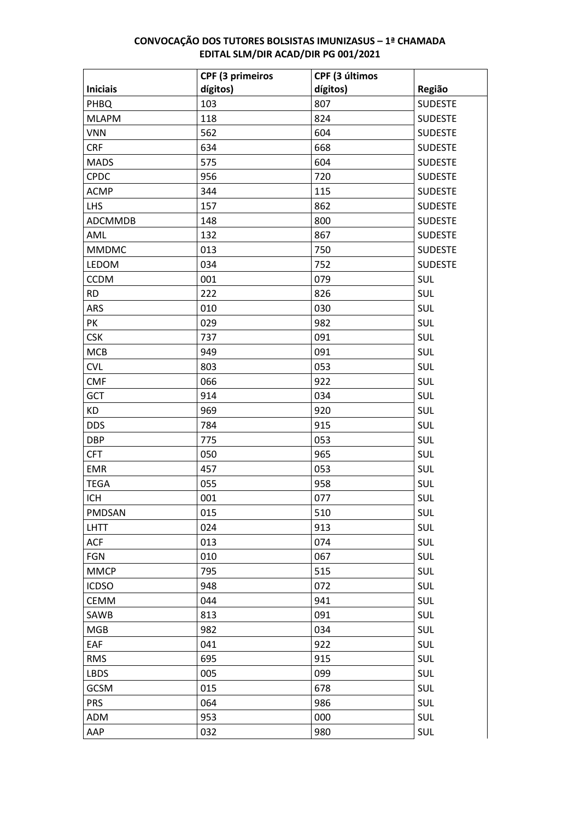|                 | CPF (3 primeiros | CPF (3 últimos |                |
|-----------------|------------------|----------------|----------------|
| <b>Iniciais</b> | dígitos)         | dígitos)       | Região         |
| PHBQ            | 103              | 807            | <b>SUDESTE</b> |
| <b>MLAPM</b>    | 118              | 824            | <b>SUDESTE</b> |
| <b>VNN</b>      | 562              | 604            | <b>SUDESTE</b> |
| <b>CRF</b>      | 634              | 668            | <b>SUDESTE</b> |
| <b>MADS</b>     | 575              | 604            | <b>SUDESTE</b> |
| <b>CPDC</b>     | 956              | 720            | <b>SUDESTE</b> |
| <b>ACMP</b>     | 344              | 115            | <b>SUDESTE</b> |
| <b>LHS</b>      | 157              | 862            | <b>SUDESTE</b> |
| ADCMMDB         | 148              | 800            | <b>SUDESTE</b> |
| AML             | 132              | 867            | <b>SUDESTE</b> |
| <b>MMDMC</b>    | 013              | 750            | <b>SUDESTE</b> |
| LEDOM           | 034              | 752            | <b>SUDESTE</b> |
| <b>CCDM</b>     | 001              | 079            | SUL            |
| <b>RD</b>       | 222              | 826            | SUL            |
| ARS             | 010              | 030            | SUL            |
| PK              | 029              | 982            | SUL            |
| <b>CSK</b>      | 737              | 091            | SUL            |
| <b>MCB</b>      | 949              | 091            | SUL            |
| <b>CVL</b>      | 803              | 053            | SUL            |
| <b>CMF</b>      | 066              | 922            | SUL            |
| GCT             | 914              | 034            | SUL            |
| <b>KD</b>       | 969              | 920            | SUL            |
| <b>DDS</b>      | 784              | 915            | SUL            |
| <b>DBP</b>      | 775              | 053            | SUL            |
| <b>CFT</b>      | 050              | 965            | SUL            |
| <b>EMR</b>      | 457              | 053            | SUL            |
| <b>TEGA</b>     | 055              | 958            | SUL            |
| <b>ICH</b>      | 001              | 077            | <b>SUL</b>     |
| PMDSAN          | 015              | 510            | <b>SUL</b>     |
| <b>LHTT</b>     | 024              | 913            | <b>SUL</b>     |
| ACF             | 013              | 074            | SUL            |
| <b>FGN</b>      | 010              | 067            | SUL            |
| <b>MMCP</b>     | 795              | 515            | SUL            |
| <b>ICDSO</b>    | 948              | 072            | SUL            |
| <b>CEMM</b>     | 044              | 941            | SUL            |
| SAWB            | 813              | 091            | SUL            |
| <b>MGB</b>      | 982              | 034            | SUL            |
| EAF             | 041              | 922            | SUL            |
| <b>RMS</b>      | 695              | 915            | SUL            |
| <b>LBDS</b>     | 005              | 099            | SUL            |
| <b>GCSM</b>     | 015              | 678            | SUL            |
| <b>PRS</b>      | 064              | 986            | SUL            |
| ADM             | 953              | 000            | SUL            |
| AAP             | 032              | 980            | SUL            |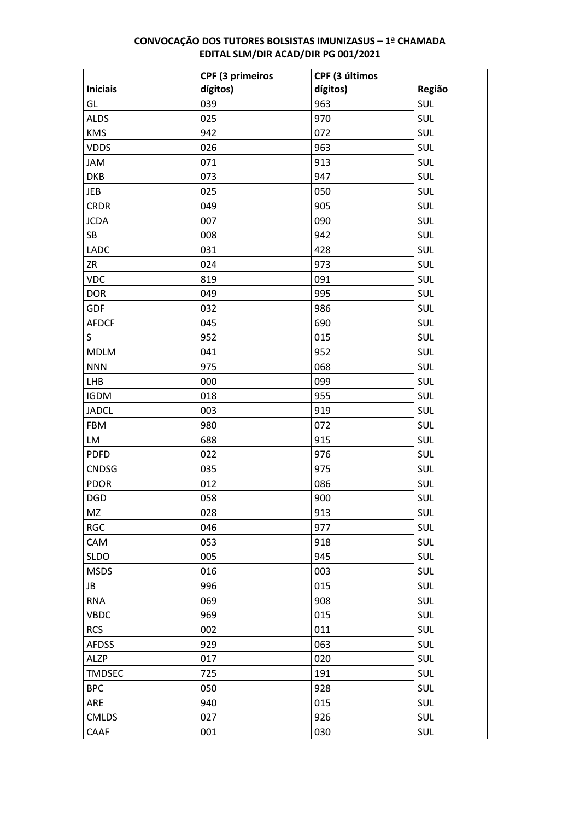|                 | CPF (3 primeiros | CPF (3 últimos |        |
|-----------------|------------------|----------------|--------|
| <b>Iniciais</b> | dígitos)         | dígitos)       | Região |
| GL              | 039              | 963            | SUL    |
| <b>ALDS</b>     | 025              | 970            | SUL    |
| <b>KMS</b>      | 942              | 072            | SUL    |
| <b>VDDS</b>     | 026              | 963            | SUL    |
| <b>JAM</b>      | 071              | 913            | SUL    |
| <b>DKB</b>      | 073              | 947            | SUL    |
| <b>JEB</b>      | 025              | 050            | SUL    |
| <b>CRDR</b>     | 049              | 905            | SUL    |
| <b>JCDA</b>     | 007              | 090            | SUL    |
| SB              | 008              | 942            | SUL    |
| <b>LADC</b>     | 031              | 428            | SUL    |
| ZR              | 024              | 973            | SUL    |
| <b>VDC</b>      | 819              | 091            | SUL    |
| <b>DOR</b>      | 049              | 995            | SUL    |
| <b>GDF</b>      | 032              | 986            | SUL    |
| <b>AFDCF</b>    | 045              | 690            | SUL    |
| S               | 952              | 015            | SUL    |
| <b>MDLM</b>     | 041              | 952            | SUL    |
| <b>NNN</b>      | 975              | 068            | SUL    |
| <b>LHB</b>      | 000              | 099            | SUL    |
| <b>IGDM</b>     | 018              | 955            | SUL    |
| <b>JADCL</b>    | 003              | 919            | SUL    |
| <b>FBM</b>      | 980              | 072            | SUL    |
| LM              | 688              | 915            | SUL    |
| <b>PDFD</b>     | 022              | 976            | SUL    |
| <b>CNDSG</b>    | 035              | 975            | SUL    |
| <b>PDOR</b>     | 012              | 086            | SUL    |
| <b>DGD</b>      | 058              | 900            | SUL    |
| MZ              | 028              | 913            | SUL    |
| <b>RGC</b>      | 046              | 977            | SUL    |
| CAM             | 053              | 918            | SUL    |
| <b>SLDO</b>     | 005              | 945            | SUL    |
| <b>MSDS</b>     | 016              | 003            | SUL    |
| JB              | 996              | 015            | SUL    |
| <b>RNA</b>      | 069              | 908            | SUL    |
| <b>VBDC</b>     | 969              | 015            | SUL    |
| <b>RCS</b>      | 002              | 011            | SUL    |
| <b>AFDSS</b>    | 929              | 063            | SUL    |
| <b>ALZP</b>     | 017              | 020            | SUL    |
| <b>TMDSEC</b>   | 725              | 191            | SUL    |
| <b>BPC</b>      | 050              | 928            | SUL    |
| ARE             | 940              | 015            | SUL    |
| <b>CMLDS</b>    | 027              | 926            | SUL    |
| CAAF            | 001              | 030            | SUL    |
|                 |                  |                |        |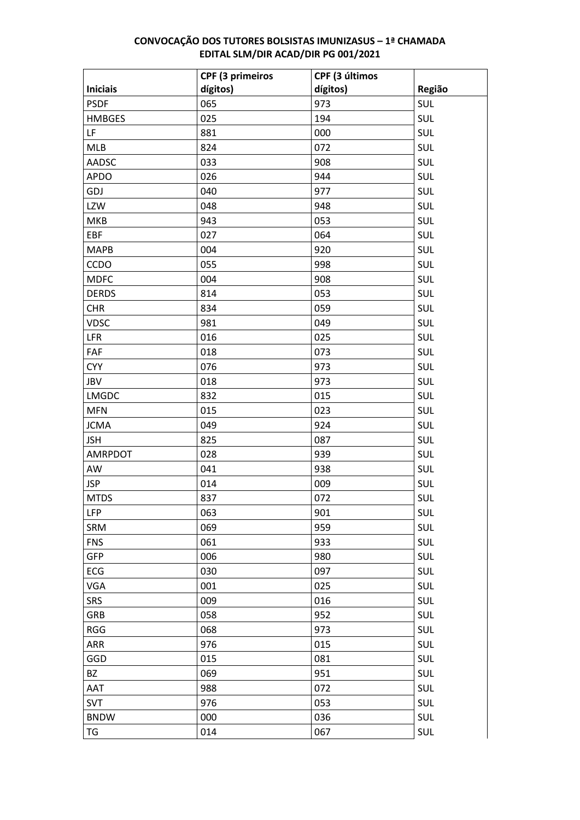| dígitos)<br>dígitos)<br><b>Iniciais</b><br>Região<br>065<br>973<br>SUL<br><b>PSDF</b><br>025<br>SUL<br><b>HMBGES</b><br>194 |  |
|-----------------------------------------------------------------------------------------------------------------------------|--|
|                                                                                                                             |  |
|                                                                                                                             |  |
|                                                                                                                             |  |
| LF<br>SUL<br>881<br>000                                                                                                     |  |
| SUL<br><b>MLB</b><br>824<br>072                                                                                             |  |
| SUL<br>AADSC<br>033<br>908                                                                                                  |  |
| SUL<br><b>APDO</b><br>026<br>944                                                                                            |  |
| SUL<br>GDJ<br>040<br>977                                                                                                    |  |
| SUL<br>LZW<br>048<br>948                                                                                                    |  |
| SUL<br>943<br>053<br>MKB                                                                                                    |  |
| SUL<br>EBF<br>027<br>064                                                                                                    |  |
| SUL<br><b>MAPB</b><br>004<br>920                                                                                            |  |
| SUL<br>CCDO<br>055<br>998                                                                                                   |  |
| SUL<br>004<br>908<br><b>MDFC</b>                                                                                            |  |
| SUL<br><b>DERDS</b><br>814<br>053                                                                                           |  |
| SUL<br><b>CHR</b><br>834<br>059                                                                                             |  |
| SUL<br><b>VDSC</b><br>981<br>049                                                                                            |  |
| SUL<br>LFR<br>016<br>025                                                                                                    |  |
| SUL<br>FAF<br>018<br>073                                                                                                    |  |
| SUL<br><b>CYY</b><br>076<br>973                                                                                             |  |
| SUL<br>JBV<br>018<br>973                                                                                                    |  |
| SUL<br><b>LMGDC</b><br>832<br>015                                                                                           |  |
| SUL<br><b>MFN</b><br>015<br>023                                                                                             |  |
| SUL<br><b>JCMA</b><br>049<br>924                                                                                            |  |
| SUL<br><b>JSH</b><br>825<br>087                                                                                             |  |
| SUL<br>AMRPDOT<br>028<br>939                                                                                                |  |
| SUL<br>AW<br>041<br>938                                                                                                     |  |
| SUL<br><b>JSP</b><br>014<br>009                                                                                             |  |
| SUL<br><b>MTDS</b><br>837<br>072                                                                                            |  |
| SUL<br><b>LFP</b><br>901<br>063                                                                                             |  |
| SUL<br>SRM<br>069<br>959                                                                                                    |  |
| SUL<br><b>FNS</b><br>061<br>933                                                                                             |  |
| SUL<br><b>GFP</b><br>006<br>980                                                                                             |  |
| SUL<br>ECG<br>030<br>097                                                                                                    |  |
| SUL<br><b>VGA</b><br>001<br>025                                                                                             |  |
| SUL<br><b>SRS</b><br>009<br>016                                                                                             |  |
| SUL<br>058<br>952<br><b>GRB</b>                                                                                             |  |
| SUL<br>973<br><b>RGG</b><br>068                                                                                             |  |
| SUL<br>976<br>ARR<br>015                                                                                                    |  |
| SUL<br>GGD<br>015<br>081                                                                                                    |  |
| SUL<br><b>BZ</b><br>069<br>951                                                                                              |  |
| SUL<br>AAT<br>072<br>988                                                                                                    |  |
| SUL<br>976<br><b>SVT</b><br>053                                                                                             |  |
| SUL<br><b>BNDW</b><br>000<br>036                                                                                            |  |
| SUL<br>014<br>TG<br>067                                                                                                     |  |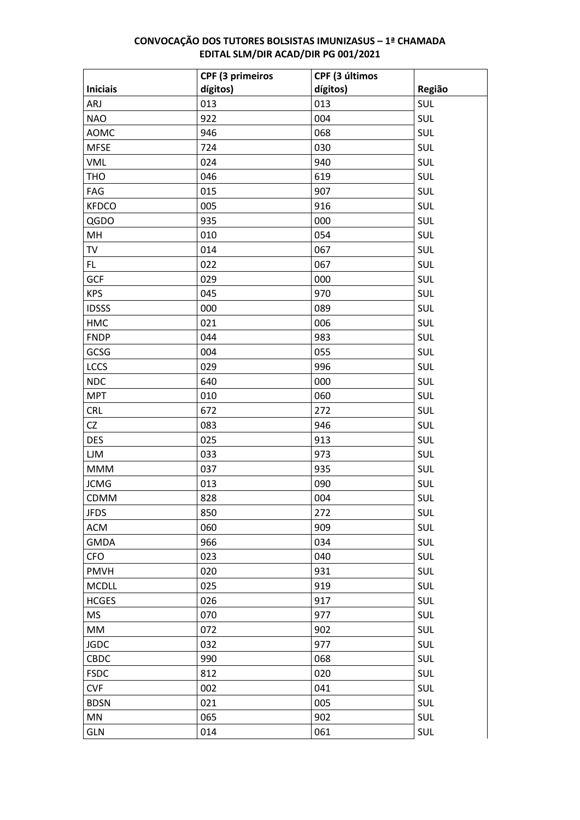|                 | <b>CPF (3 primeiros</b> | CPF (3 últimos |            |
|-----------------|-------------------------|----------------|------------|
| <b>Iniciais</b> | dígitos)                | dígitos)       | Região     |
| ARJ             | 013                     | 013            | <b>SUL</b> |
| <b>NAO</b>      | 922                     | 004            | <b>SUL</b> |
| <b>AOMC</b>     | 946                     | 068            | <b>SUL</b> |
| <b>MFSE</b>     | 724                     | 030            | <b>SUL</b> |
| <b>VML</b>      | 024                     | 940            | <b>SUL</b> |
| <b>THO</b>      | 046                     | 619            | <b>SUL</b> |
| FAG             | 015                     | 907            | <b>SUL</b> |
| <b>KFDCO</b>    | 005                     | 916            | <b>SUL</b> |
| QGDO            | 935                     | 000            | <b>SUL</b> |
| MH              | 010                     | 054            | <b>SUL</b> |
| TV              | 014                     | 067            | <b>SUL</b> |
| FL.             | 022                     | 067            | <b>SUL</b> |
| <b>GCF</b>      | 029                     | 000            | <b>SUL</b> |
| <b>KPS</b>      | 045                     | 970            | <b>SUL</b> |
| <b>IDSSS</b>    | 000                     | 089            | <b>SUL</b> |
| <b>HMC</b>      | 021                     | 006            | <b>SUL</b> |
| <b>FNDP</b>     | 044                     | 983            | <b>SUL</b> |
| GCSG            | 004                     | 055            | <b>SUL</b> |
| LCCS            | 029                     | 996            | <b>SUL</b> |
| <b>NDC</b>      | 640                     | 000            | <b>SUL</b> |
| <b>MPT</b>      | 010                     | 060            | <b>SUL</b> |
| <b>CRL</b>      | 672                     | 272            | <b>SUL</b> |
| <b>CZ</b>       | 083                     | 946            | <b>SUL</b> |
| <b>DES</b>      | 025                     | 913            | <b>SUL</b> |
| LJM             | 033                     | 973            | <b>SUL</b> |
| <b>MMM</b>      | 037                     | 935            | <b>SUL</b> |
| <b>JCMG</b>     | 013                     | 090            | SUL        |
| CDMM            | 828                     | 004            | <b>SUL</b> |
| <b>JFDS</b>     | 850                     | 272            | <b>SUL</b> |
| <b>ACM</b>      | 060                     | 909            | SUL        |
| <b>GMDA</b>     | 966                     | 034            | <b>SUL</b> |
| <b>CFO</b>      | 023                     | 040            | SUL        |
| <b>PMVH</b>     | 020                     | 931            | <b>SUL</b> |
| <b>MCDLL</b>    | 025                     | 919            | <b>SUL</b> |
| <b>HCGES</b>    | 026                     | 917            | <b>SUL</b> |
| <b>MS</b>       | 070                     | 977            | SUL        |
| MM              | 072                     | 902            | <b>SUL</b> |
| <b>JGDC</b>     | 032                     | 977            | <b>SUL</b> |
| CBDC            | 990                     | 068            | <b>SUL</b> |
| <b>FSDC</b>     | 812                     | 020            | SUL        |
| <b>CVF</b>      | 002                     | 041            | <b>SUL</b> |
| <b>BDSN</b>     | 021                     | 005            | <b>SUL</b> |
| MN              | 065                     | 902            | SUL        |
| GLN             | 014                     | 061            | SUL        |
|                 |                         |                |            |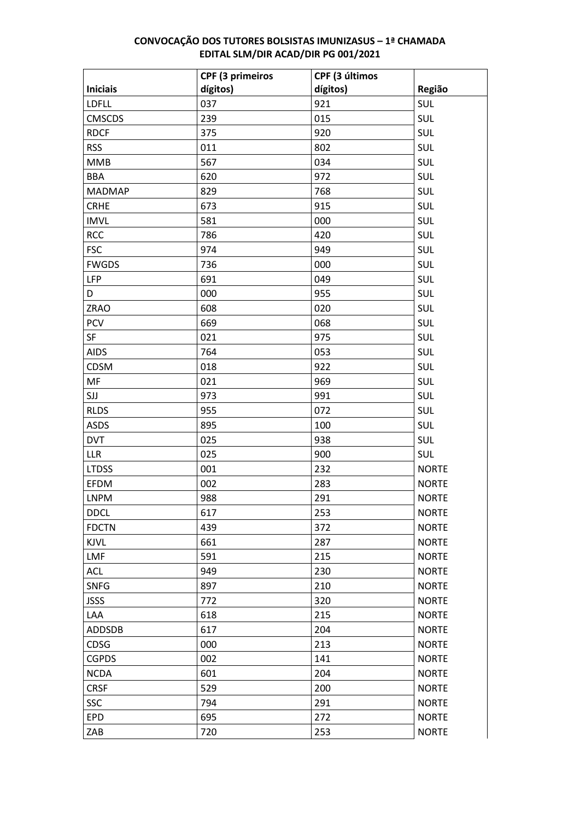|                 | <b>CPF (3 primeiros</b> | CPF (3 últimos |              |
|-----------------|-------------------------|----------------|--------------|
| <b>Iniciais</b> | dígitos)                | dígitos)       | Região       |
| <b>LDFLL</b>    | 037                     | 921            | SUL          |
| <b>CMSCDS</b>   | 239                     | 015            | SUL          |
| <b>RDCF</b>     | 375                     | 920            | SUL          |
| <b>RSS</b>      | 011                     | 802            | SUL          |
| <b>MMB</b>      | 567                     | 034            | SUL          |
| <b>BBA</b>      | 620                     | 972            | SUL          |
| <b>MADMAP</b>   | 829                     | 768            | SUL          |
| <b>CRHE</b>     | 673                     | 915            | SUL          |
| <b>IMVL</b>     | 581                     | 000            | SUL          |
| <b>RCC</b>      | 786                     | 420            | SUL          |
| <b>FSC</b>      | 974                     | 949            | SUL          |
| <b>FWGDS</b>    | 736                     | 000            | SUL          |
| <b>LFP</b>      | 691                     | 049            | SUL          |
| D               | 000                     | 955            | SUL          |
| ZRAO            | 608                     | 020            | SUL          |
| <b>PCV</b>      | 669                     | 068            | SUL          |
| SF              | 021                     | 975            | SUL          |
| <b>AIDS</b>     | 764                     | 053            | SUL          |
| <b>CDSM</b>     | 018                     | 922            | SUL          |
| MF              | 021                     | 969            | SUL          |
| SJJ             | 973                     | 991            | SUL          |
| <b>RLDS</b>     | 955                     | 072            | SUL          |
| <b>ASDS</b>     | 895                     | 100            | SUL          |
| <b>DVT</b>      | 025                     | 938            | SUL          |
| <b>LLR</b>      | 025                     | 900            | SUL          |
| <b>LTDSS</b>    | 001                     | 232            | <b>NORTE</b> |
| EFDM            | 002                     | 283            | <b>NORTE</b> |
| <b>LNPM</b>     | 988                     | 291            | <b>NORTE</b> |
| <b>DDCL</b>     | 617                     | 253            | <b>NORTE</b> |
| <b>FDCTN</b>    | 439                     | 372            | <b>NORTE</b> |
| <b>KJVL</b>     | 661                     | 287            | <b>NORTE</b> |
| <b>LMF</b>      | 591                     | 215            | <b>NORTE</b> |
| <b>ACL</b>      | 949                     | 230            | <b>NORTE</b> |
| <b>SNFG</b>     | 897                     | 210            | <b>NORTE</b> |
| <b>JSSS</b>     | 772                     | 320            | <b>NORTE</b> |
| LAA             | 618                     | 215            | <b>NORTE</b> |
| <b>ADDSDB</b>   | 617                     | 204            | <b>NORTE</b> |
| CDSG            | 000                     | 213            | <b>NORTE</b> |
| <b>CGPDS</b>    | 002                     | 141            | <b>NORTE</b> |
| <b>NCDA</b>     | 601                     | 204            | <b>NORTE</b> |
| <b>CRSF</b>     | 529                     | 200            | <b>NORTE</b> |
| SSC             | 794                     | 291            | <b>NORTE</b> |
| <b>EPD</b>      | 695                     | 272            | <b>NORTE</b> |
| ZAB             | 720                     | 253            | <b>NORTE</b> |
|                 |                         |                |              |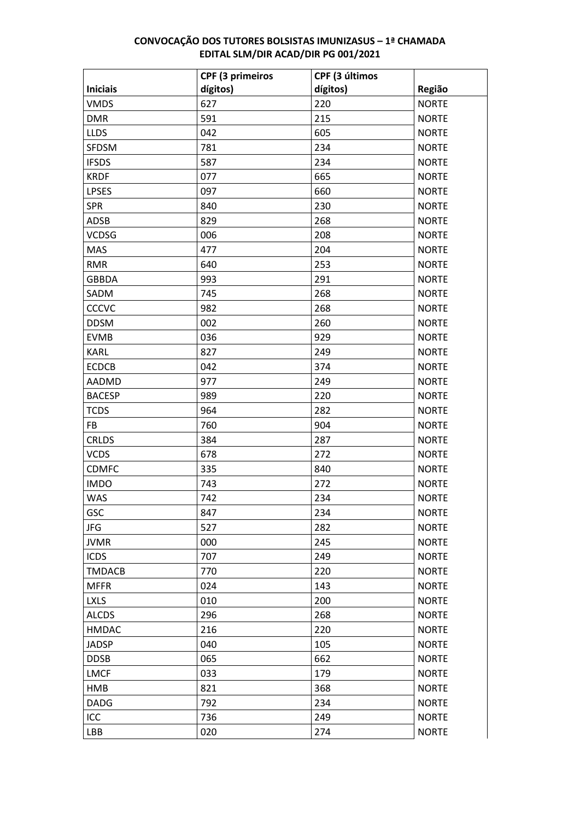|                 | CPF (3 primeiros | CPF (3 últimos |              |
|-----------------|------------------|----------------|--------------|
| <b>Iniciais</b> | dígitos)         | dígitos)       | Região       |
| <b>VMDS</b>     | 627              | 220            | <b>NORTE</b> |
| <b>DMR</b>      | 591              | 215            | <b>NORTE</b> |
| <b>LLDS</b>     | 042              | 605            | <b>NORTE</b> |
| <b>SFDSM</b>    | 781              | 234            | <b>NORTE</b> |
| <b>IFSDS</b>    | 587              | 234            | <b>NORTE</b> |
| <b>KRDF</b>     | 077              | 665            | <b>NORTE</b> |
| <b>LPSES</b>    | 097              | 660            | <b>NORTE</b> |
| <b>SPR</b>      | 840              | 230            | <b>NORTE</b> |
| ADSB            | 829              | 268            | <b>NORTE</b> |
| <b>VCDSG</b>    | 006              | 208            | <b>NORTE</b> |
| <b>MAS</b>      | 477              | 204            | <b>NORTE</b> |
| <b>RMR</b>      | 640              | 253            | <b>NORTE</b> |
| <b>GBBDA</b>    | 993              | 291            | <b>NORTE</b> |
| SADM            | 745              | 268            | <b>NORTE</b> |
| CCCVC           | 982              | 268            | <b>NORTE</b> |
| <b>DDSM</b>     | 002              | 260            | <b>NORTE</b> |
| <b>EVMB</b>     | 036              | 929            | <b>NORTE</b> |
| <b>KARL</b>     | 827              | 249            | <b>NORTE</b> |
| <b>ECDCB</b>    | 042              | 374            | <b>NORTE</b> |
| AADMD           | 977              | 249            | <b>NORTE</b> |
| <b>BACESP</b>   | 989              | 220            | <b>NORTE</b> |
| <b>TCDS</b>     | 964              | 282            | <b>NORTE</b> |
| <b>FB</b>       | 760              | 904            | <b>NORTE</b> |
| <b>CRLDS</b>    | 384              | 287            | <b>NORTE</b> |
| <b>VCDS</b>     | 678              | 272            | <b>NORTE</b> |
| <b>CDMFC</b>    | 335              | 840            | <b>NORTE</b> |
| <b>IMDO</b>     | 743              | 272            | <b>NORTE</b> |
| <b>WAS</b>      | 742              | 234            | <b>NORTE</b> |
| GSC             | 847              | 234            | <b>NORTE</b> |
| JFG             | 527              | 282            | <b>NORTE</b> |
| <b>JVMR</b>     | 000              | 245            | <b>NORTE</b> |
| <b>ICDS</b>     | 707              | 249            | <b>NORTE</b> |
| <b>TMDACB</b>   | 770              | 220            | <b>NORTE</b> |
| <b>MFFR</b>     | 024              | 143            | <b>NORTE</b> |
| <b>LXLS</b>     | 010              | 200            | <b>NORTE</b> |
| <b>ALCDS</b>    | 296              | 268            | <b>NORTE</b> |
| <b>HMDAC</b>    | 216              | 220            | <b>NORTE</b> |
| <b>JADSP</b>    | 040              | 105            | <b>NORTE</b> |
| <b>DDSB</b>     | 065              | 662            | <b>NORTE</b> |
| <b>LMCF</b>     | 033              | 179            | <b>NORTE</b> |
| <b>HMB</b>      | 821              | 368            | <b>NORTE</b> |
| <b>DADG</b>     | 792              | 234            | <b>NORTE</b> |
| ICC             | 736              | 249            | <b>NORTE</b> |
| LBB             | 020              | 274            | <b>NORTE</b> |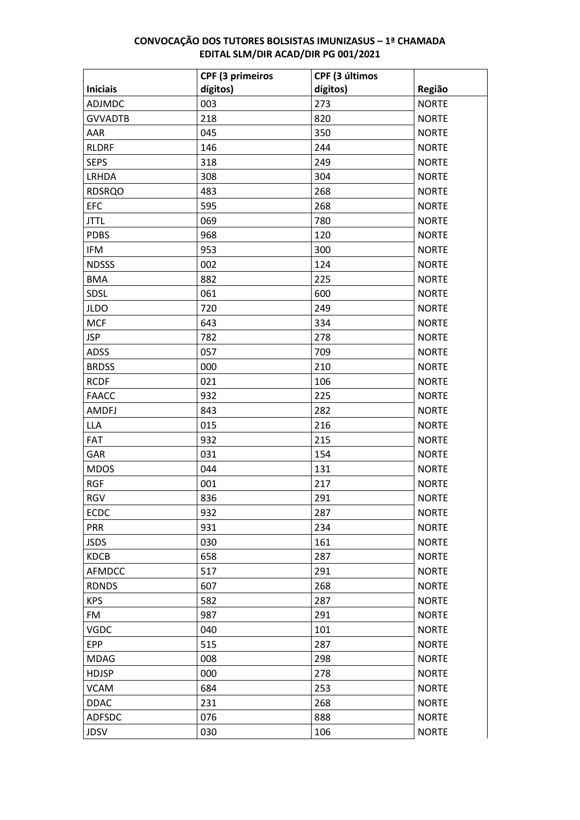|                 | <b>CPF (3 primeiros</b> | CPF (3 últimos |              |
|-----------------|-------------------------|----------------|--------------|
| <b>Iniciais</b> | dígitos)                | dígitos)       | Região       |
| <b>ADJMDC</b>   | 003                     | 273            | <b>NORTE</b> |
| <b>GVVADTB</b>  | 218                     | 820            | <b>NORTE</b> |
| AAR             | 045                     | 350            | <b>NORTE</b> |
| <b>RLDRF</b>    | 146                     | 244            | <b>NORTE</b> |
| <b>SEPS</b>     | 318                     | 249            | <b>NORTE</b> |
| LRHDA           | 308                     | 304            | <b>NORTE</b> |
| <b>RDSRQO</b>   | 483                     | 268            | <b>NORTE</b> |
| <b>EFC</b>      | 595                     | 268            | <b>NORTE</b> |
| <b>JTTL</b>     | 069                     | 780            | <b>NORTE</b> |
| <b>PDBS</b>     | 968                     | 120            | <b>NORTE</b> |
| IFM             | 953                     | 300            | <b>NORTE</b> |
| <b>NDSSS</b>    | 002                     | 124            | <b>NORTE</b> |
| <b>BMA</b>      | 882                     | 225            | <b>NORTE</b> |
| SDSL            | 061                     | 600            | <b>NORTE</b> |
| <b>JLDO</b>     | 720                     | 249            | <b>NORTE</b> |
| <b>MCF</b>      | 643                     | 334            | <b>NORTE</b> |
| <b>JSP</b>      | 782                     | 278            | <b>NORTE</b> |
| <b>ADSS</b>     | 057                     | 709            | <b>NORTE</b> |
| <b>BRDSS</b>    | 000                     | 210            | <b>NORTE</b> |
| <b>RCDF</b>     | 021                     | 106            | <b>NORTE</b> |
| <b>FAACC</b>    | 932                     | 225            | <b>NORTE</b> |
| <b>AMDFJ</b>    | 843                     | 282            | <b>NORTE</b> |
| <b>LLA</b>      | 015                     | 216            | <b>NORTE</b> |
| FAT             | 932                     | 215            | <b>NORTE</b> |
| GAR             | 031                     | 154            | <b>NORTE</b> |
| <b>MDOS</b>     | 044                     | 131            | <b>NORTE</b> |
| <b>RGF</b>      | 001                     | 217            | <b>NORTE</b> |
| <b>RGV</b>      | 836                     | 291            | <b>NORTE</b> |
| <b>ECDC</b>     | 932                     | 287            | <b>NORTE</b> |
| <b>PRR</b>      | 931                     | 234            | <b>NORTE</b> |
| <b>JSDS</b>     | 030                     | 161            | <b>NORTE</b> |
| <b>KDCB</b>     | 658                     | 287            | <b>NORTE</b> |
| AFMDCC          | 517                     | 291            | <b>NORTE</b> |
| <b>RDNDS</b>    | 607                     | 268            | <b>NORTE</b> |
| <b>KPS</b>      | 582                     | 287            | <b>NORTE</b> |
| FM              | 987                     | 291            | <b>NORTE</b> |
| <b>VGDC</b>     | 040                     | 101            | <b>NORTE</b> |
| <b>EPP</b>      | 515                     | 287            | <b>NORTE</b> |
| <b>MDAG</b>     | 008                     | 298            | <b>NORTE</b> |
| <b>HDJSP</b>    | 000                     | 278            | <b>NORTE</b> |
| <b>VCAM</b>     | 684                     | 253            | <b>NORTE</b> |
| <b>DDAC</b>     | 231                     | 268            | <b>NORTE</b> |
| <b>ADFSDC</b>   | 076                     | 888            | <b>NORTE</b> |
| <b>JDSV</b>     | 030                     | 106            | <b>NORTE</b> |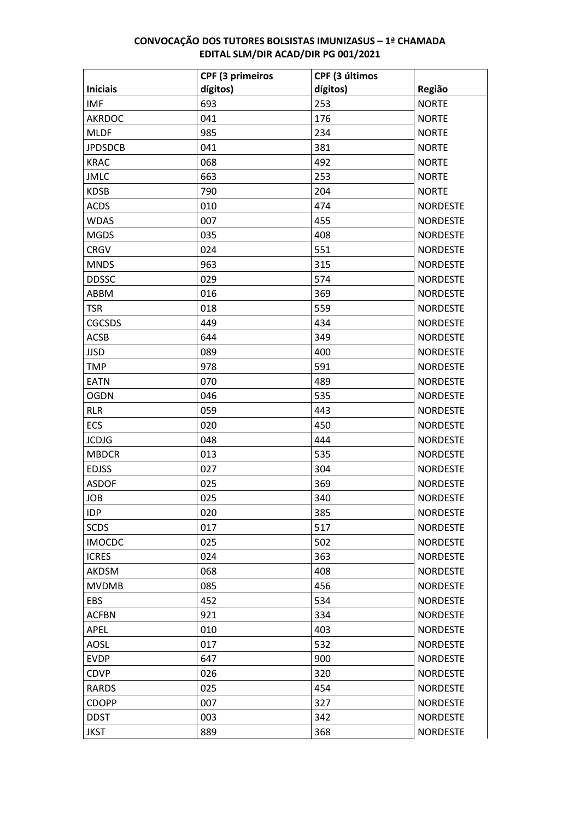|                 | <b>CPF (3 primeiros</b> | CPF (3 últimos |                 |
|-----------------|-------------------------|----------------|-----------------|
| <b>Iniciais</b> | dígitos)                | dígitos)       | Região          |
| <b>IMF</b>      | 693                     | 253            | <b>NORTE</b>    |
| <b>AKRDOC</b>   | 041                     | 176            | <b>NORTE</b>    |
| <b>MLDF</b>     | 985                     | 234            | <b>NORTE</b>    |
| <b>JPDSDCB</b>  | 041                     | 381            | <b>NORTE</b>    |
| <b>KRAC</b>     | 068                     | 492            | <b>NORTE</b>    |
| <b>JMLC</b>     | 663                     | 253            | <b>NORTE</b>    |
| <b>KDSB</b>     | 790                     | 204            | <b>NORTE</b>    |
| <b>ACDS</b>     | 010                     | 474            | <b>NORDESTE</b> |
| <b>WDAS</b>     | 007                     | 455            | <b>NORDESTE</b> |
| <b>MGDS</b>     | 035                     | 408            | <b>NORDESTE</b> |
| <b>CRGV</b>     | 024                     | 551            | <b>NORDESTE</b> |
| <b>MNDS</b>     | 963                     | 315            | <b>NORDESTE</b> |
| <b>DDSSC</b>    | 029                     | 574            | <b>NORDESTE</b> |
| ABBM            | 016                     | 369            | <b>NORDESTE</b> |
| <b>TSR</b>      | 018                     | 559            | <b>NORDESTE</b> |
| <b>CGCSDS</b>   | 449                     | 434            | <b>NORDESTE</b> |
| <b>ACSB</b>     | 644                     | 349            | <b>NORDESTE</b> |
| <b>JJSD</b>     | 089                     | 400            | <b>NORDESTE</b> |
| <b>TMP</b>      | 978                     | 591            | <b>NORDESTE</b> |
| <b>EATN</b>     | 070                     | 489            | <b>NORDESTE</b> |
| <b>OGDN</b>     | 046                     | 535            | <b>NORDESTE</b> |
| <b>RLR</b>      | 059                     | 443            | <b>NORDESTE</b> |
| ECS             | 020                     | 450            | <b>NORDESTE</b> |
| <b>JCDJG</b>    | 048                     | 444            | <b>NORDESTE</b> |
| <b>MBDCR</b>    | 013                     | 535            | <b>NORDESTE</b> |
| <b>EDJSS</b>    | 027                     | 304            | <b>NORDESTE</b> |
| <b>ASDOF</b>    | 025                     | 369            | <b>NORDESTE</b> |
| <b>JOB</b>      | 025                     | 340            | <b>NORDESTE</b> |
| <b>IDP</b>      | 020                     | 385            | <b>NORDESTE</b> |
| <b>SCDS</b>     | 017                     | 517            | <b>NORDESTE</b> |
| <b>IMOCDC</b>   | 025                     | 502            | <b>NORDESTE</b> |
| <b>ICRES</b>    | 024                     | 363            | <b>NORDESTE</b> |
| AKDSM           | 068                     | 408            | <b>NORDESTE</b> |
| <b>MVDMB</b>    | 085                     | 456            | <b>NORDESTE</b> |
| EBS             | 452                     | 534            | <b>NORDESTE</b> |
| <b>ACFBN</b>    | 921                     | 334            | <b>NORDESTE</b> |
| APEL            | 010                     | 403            | <b>NORDESTE</b> |
| <b>AOSL</b>     | 017                     | 532            | <b>NORDESTE</b> |
| <b>EVDP</b>     | 647                     | 900            | <b>NORDESTE</b> |
| <b>CDVP</b>     | 026                     | 320            | <b>NORDESTE</b> |
| RARDS           | 025                     | 454            | <b>NORDESTE</b> |
| <b>CDOPP</b>    | 007                     | 327            | <b>NORDESTE</b> |
| <b>DDST</b>     | 003                     | 342            | <b>NORDESTE</b> |
| <b>JKST</b>     | 889                     | 368            | <b>NORDESTE</b> |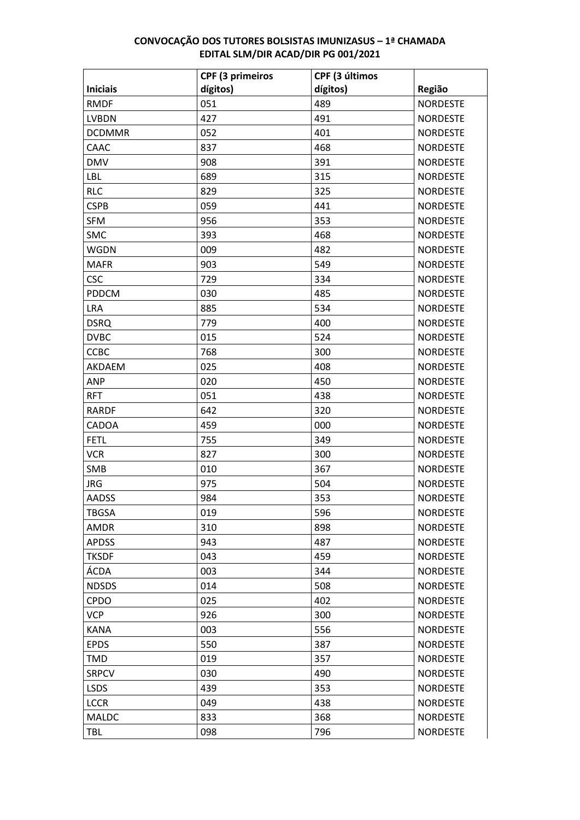|                 | <b>CPF (3 primeiros</b> | CPF (3 últimos |                 |
|-----------------|-------------------------|----------------|-----------------|
| <b>Iniciais</b> | dígitos)                | dígitos)       | Região          |
| <b>RMDF</b>     | 051                     | 489            | <b>NORDESTE</b> |
| <b>LVBDN</b>    | 427                     | 491            | <b>NORDESTE</b> |
| <b>DCDMMR</b>   | 052                     | 401            | <b>NORDESTE</b> |
| CAAC            | 837                     | 468            | <b>NORDESTE</b> |
| <b>DMV</b>      | 908                     | 391            | <b>NORDESTE</b> |
| LBL             | 689                     | 315            | <b>NORDESTE</b> |
| <b>RLC</b>      | 829                     | 325            | <b>NORDESTE</b> |
| <b>CSPB</b>     | 059                     | 441            | <b>NORDESTE</b> |
| <b>SFM</b>      | 956                     | 353            | <b>NORDESTE</b> |
| SMC             | 393                     | 468            | <b>NORDESTE</b> |
| <b>WGDN</b>     | 009                     | 482            | <b>NORDESTE</b> |
| <b>MAFR</b>     | 903                     | 549            | <b>NORDESTE</b> |
| <b>CSC</b>      | 729                     | 334            | <b>NORDESTE</b> |
| PDDCM           | 030                     | 485            | <b>NORDESTE</b> |
| <b>LRA</b>      | 885                     | 534            | <b>NORDESTE</b> |
| <b>DSRQ</b>     | 779                     | 400            | <b>NORDESTE</b> |
| <b>DVBC</b>     | 015                     | 524            | <b>NORDESTE</b> |
| <b>CCBC</b>     | 768                     | 300            | <b>NORDESTE</b> |
| AKDAEM          | 025                     | 408            | <b>NORDESTE</b> |
| <b>ANP</b>      | 020                     | 450            | <b>NORDESTE</b> |
| <b>RFT</b>      | 051                     | 438            | <b>NORDESTE</b> |
| <b>RARDF</b>    | 642                     | 320            | <b>NORDESTE</b> |
| CADOA           | 459                     | 000            | <b>NORDESTE</b> |
| <b>FETL</b>     | 755                     | 349            | <b>NORDESTE</b> |
| <b>VCR</b>      | 827                     | 300            | <b>NORDESTE</b> |
| SMB             | 010                     | 367            | <b>NORDESTE</b> |
| <b>JRG</b>      | 975                     | 504            | <b>NORDESTE</b> |
| <b>AADSS</b>    | 984                     | 353            | <b>NORDESTE</b> |
| <b>TBGSA</b>    | 019                     | 596            | <b>NORDESTE</b> |
| AMDR            | 310                     | 898            | <b>NORDESTE</b> |
| <b>APDSS</b>    | 943                     | 487            | <b>NORDESTE</b> |
| <b>TKSDF</b>    | 043                     | 459            | <b>NORDESTE</b> |
| ÁCDA            | 003                     | 344            | <b>NORDESTE</b> |
| <b>NDSDS</b>    | 014                     | 508            | <b>NORDESTE</b> |
| <b>CPDO</b>     | 025                     | 402            | <b>NORDESTE</b> |
| <b>VCP</b>      | 926                     | 300            | <b>NORDESTE</b> |
| <b>KANA</b>     | 003                     | 556            | <b>NORDESTE</b> |
| <b>EPDS</b>     | 550                     | 387            | <b>NORDESTE</b> |
| <b>TMD</b>      | 019                     | 357            | <b>NORDESTE</b> |
| <b>SRPCV</b>    | 030                     | 490            | <b>NORDESTE</b> |
| <b>LSDS</b>     | 439                     | 353            | <b>NORDESTE</b> |
| <b>LCCR</b>     | 049                     | 438            | <b>NORDESTE</b> |
| MALDC           | 833                     | 368            | <b>NORDESTE</b> |
| TBL             | 098                     | 796            | <b>NORDESTE</b> |
|                 |                         |                |                 |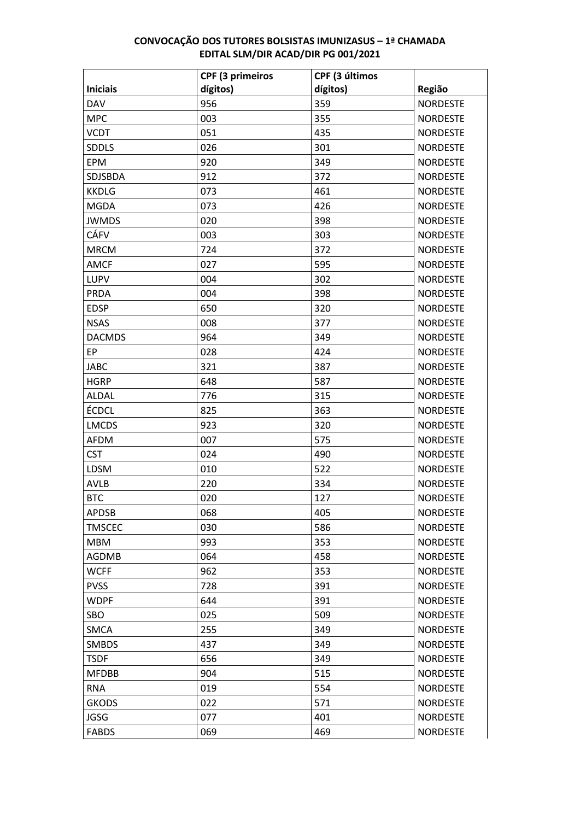| dígitos)<br>dígitos)<br><b>Iniciais</b><br>Região<br>359<br>956<br><b>DAV</b><br><b>NORDESTE</b><br>355<br><b>MPC</b><br>003<br><b>NORDESTE</b><br>051<br><b>VCDT</b><br>435<br><b>NORDESTE</b><br>026<br>301<br><b>NORDESTE</b><br><b>SDDLS</b><br>920<br>349<br>EPM<br><b>NORDESTE</b><br>912<br>372<br><b>NORDESTE</b><br>SDJSBDA<br>073<br>461<br><b>NORDESTE</b><br><b>KKDLG</b><br>073<br>426<br><b>NORDESTE</b><br><b>MGDA</b><br>398<br>020<br><b>NORDESTE</b><br><b>JWMDS</b><br>CÁFV<br>003<br>303<br><b>NORDESTE</b><br>724<br>372<br><b>NORDESTE</b><br><b>MRCM</b><br><b>AMCF</b><br>027<br>595<br><b>NORDESTE</b><br>302<br>LUPV<br>004<br><b>NORDESTE</b><br>004<br>398<br><b>NORDESTE</b><br><b>PRDA</b><br>320<br><b>EDSP</b><br>650<br><b>NORDESTE</b><br>008<br>377<br><b>NORDESTE</b><br><b>NSAS</b><br>964<br><b>DACMDS</b><br>349<br><b>NORDESTE</b><br>EP<br>028<br>424<br><b>NORDESTE</b><br>321<br><b>JABC</b><br>387<br><b>NORDESTE</b><br><b>HGRP</b><br>587<br><b>NORDESTE</b><br>648<br>315<br>776<br><b>NORDESTE</b><br><b>ALDAL</b><br>ÉCDCL<br>825<br>363<br><b>NORDESTE</b><br>923<br>320<br><b>LMCDS</b><br><b>NORDESTE</b><br>575<br><b>NORDESTE</b><br><b>AFDM</b><br>007<br><b>CST</b><br>024<br><b>NORDESTE</b><br>490<br>010<br>522<br><b>NORDESTE</b><br><b>LDSM</b><br>334<br><b>AVLB</b><br>220<br><b>NORDESTE</b><br><b>BTC</b><br>127<br><b>NORDESTE</b><br>020<br><b>APDSB</b><br>068<br>405<br><b>NORDESTE</b><br>030<br>586<br><b>TMSCEC</b><br><b>NORDESTE</b><br>993<br>353<br><b>NORDESTE</b><br><b>MBM</b><br><b>NORDESTE</b><br><b>AGDMB</b><br>064<br>458<br>962<br>353<br><b>WCFF</b><br><b>NORDESTE</b><br><b>PVSS</b><br>728<br>391<br><b>NORDESTE</b><br>391<br><b>WDPF</b><br>644<br><b>NORDESTE</b><br><b>NORDESTE</b><br>SBO<br>025<br>509<br>255<br>349<br><b>SMCA</b><br><b>NORDESTE</b><br><b>SMBDS</b><br>437<br>349<br><b>NORDESTE</b><br>349<br><b>TSDF</b><br>656<br><b>NORDESTE</b><br><b>NORDESTE</b><br><b>MFDBB</b><br>904<br>515<br>554<br><b>RNA</b><br>019<br><b>NORDESTE</b><br><b>GKODS</b><br>022<br>571<br><b>NORDESTE</b><br><b>JGSG</b><br>077<br>401<br><b>NORDESTE</b><br><b>NORDESTE</b><br><b>FABDS</b><br>069<br>469 | <b>CPF (3 primeiros</b> | CPF (3 últimos |  |
|-----------------------------------------------------------------------------------------------------------------------------------------------------------------------------------------------------------------------------------------------------------------------------------------------------------------------------------------------------------------------------------------------------------------------------------------------------------------------------------------------------------------------------------------------------------------------------------------------------------------------------------------------------------------------------------------------------------------------------------------------------------------------------------------------------------------------------------------------------------------------------------------------------------------------------------------------------------------------------------------------------------------------------------------------------------------------------------------------------------------------------------------------------------------------------------------------------------------------------------------------------------------------------------------------------------------------------------------------------------------------------------------------------------------------------------------------------------------------------------------------------------------------------------------------------------------------------------------------------------------------------------------------------------------------------------------------------------------------------------------------------------------------------------------------------------------------------------------------------------------------------------------------------------------------------------------------------------------------------------------------------------------------------------------------------------------------------------------------------------------------------------------------------------------------------------------------------------|-------------------------|----------------|--|
|                                                                                                                                                                                                                                                                                                                                                                                                                                                                                                                                                                                                                                                                                                                                                                                                                                                                                                                                                                                                                                                                                                                                                                                                                                                                                                                                                                                                                                                                                                                                                                                                                                                                                                                                                                                                                                                                                                                                                                                                                                                                                                                                                                                                           |                         |                |  |
|                                                                                                                                                                                                                                                                                                                                                                                                                                                                                                                                                                                                                                                                                                                                                                                                                                                                                                                                                                                                                                                                                                                                                                                                                                                                                                                                                                                                                                                                                                                                                                                                                                                                                                                                                                                                                                                                                                                                                                                                                                                                                                                                                                                                           |                         |                |  |
|                                                                                                                                                                                                                                                                                                                                                                                                                                                                                                                                                                                                                                                                                                                                                                                                                                                                                                                                                                                                                                                                                                                                                                                                                                                                                                                                                                                                                                                                                                                                                                                                                                                                                                                                                                                                                                                                                                                                                                                                                                                                                                                                                                                                           |                         |                |  |
|                                                                                                                                                                                                                                                                                                                                                                                                                                                                                                                                                                                                                                                                                                                                                                                                                                                                                                                                                                                                                                                                                                                                                                                                                                                                                                                                                                                                                                                                                                                                                                                                                                                                                                                                                                                                                                                                                                                                                                                                                                                                                                                                                                                                           |                         |                |  |
|                                                                                                                                                                                                                                                                                                                                                                                                                                                                                                                                                                                                                                                                                                                                                                                                                                                                                                                                                                                                                                                                                                                                                                                                                                                                                                                                                                                                                                                                                                                                                                                                                                                                                                                                                                                                                                                                                                                                                                                                                                                                                                                                                                                                           |                         |                |  |
|                                                                                                                                                                                                                                                                                                                                                                                                                                                                                                                                                                                                                                                                                                                                                                                                                                                                                                                                                                                                                                                                                                                                                                                                                                                                                                                                                                                                                                                                                                                                                                                                                                                                                                                                                                                                                                                                                                                                                                                                                                                                                                                                                                                                           |                         |                |  |
|                                                                                                                                                                                                                                                                                                                                                                                                                                                                                                                                                                                                                                                                                                                                                                                                                                                                                                                                                                                                                                                                                                                                                                                                                                                                                                                                                                                                                                                                                                                                                                                                                                                                                                                                                                                                                                                                                                                                                                                                                                                                                                                                                                                                           |                         |                |  |
|                                                                                                                                                                                                                                                                                                                                                                                                                                                                                                                                                                                                                                                                                                                                                                                                                                                                                                                                                                                                                                                                                                                                                                                                                                                                                                                                                                                                                                                                                                                                                                                                                                                                                                                                                                                                                                                                                                                                                                                                                                                                                                                                                                                                           |                         |                |  |
|                                                                                                                                                                                                                                                                                                                                                                                                                                                                                                                                                                                                                                                                                                                                                                                                                                                                                                                                                                                                                                                                                                                                                                                                                                                                                                                                                                                                                                                                                                                                                                                                                                                                                                                                                                                                                                                                                                                                                                                                                                                                                                                                                                                                           |                         |                |  |
|                                                                                                                                                                                                                                                                                                                                                                                                                                                                                                                                                                                                                                                                                                                                                                                                                                                                                                                                                                                                                                                                                                                                                                                                                                                                                                                                                                                                                                                                                                                                                                                                                                                                                                                                                                                                                                                                                                                                                                                                                                                                                                                                                                                                           |                         |                |  |
|                                                                                                                                                                                                                                                                                                                                                                                                                                                                                                                                                                                                                                                                                                                                                                                                                                                                                                                                                                                                                                                                                                                                                                                                                                                                                                                                                                                                                                                                                                                                                                                                                                                                                                                                                                                                                                                                                                                                                                                                                                                                                                                                                                                                           |                         |                |  |
|                                                                                                                                                                                                                                                                                                                                                                                                                                                                                                                                                                                                                                                                                                                                                                                                                                                                                                                                                                                                                                                                                                                                                                                                                                                                                                                                                                                                                                                                                                                                                                                                                                                                                                                                                                                                                                                                                                                                                                                                                                                                                                                                                                                                           |                         |                |  |
|                                                                                                                                                                                                                                                                                                                                                                                                                                                                                                                                                                                                                                                                                                                                                                                                                                                                                                                                                                                                                                                                                                                                                                                                                                                                                                                                                                                                                                                                                                                                                                                                                                                                                                                                                                                                                                                                                                                                                                                                                                                                                                                                                                                                           |                         |                |  |
|                                                                                                                                                                                                                                                                                                                                                                                                                                                                                                                                                                                                                                                                                                                                                                                                                                                                                                                                                                                                                                                                                                                                                                                                                                                                                                                                                                                                                                                                                                                                                                                                                                                                                                                                                                                                                                                                                                                                                                                                                                                                                                                                                                                                           |                         |                |  |
|                                                                                                                                                                                                                                                                                                                                                                                                                                                                                                                                                                                                                                                                                                                                                                                                                                                                                                                                                                                                                                                                                                                                                                                                                                                                                                                                                                                                                                                                                                                                                                                                                                                                                                                                                                                                                                                                                                                                                                                                                                                                                                                                                                                                           |                         |                |  |
|                                                                                                                                                                                                                                                                                                                                                                                                                                                                                                                                                                                                                                                                                                                                                                                                                                                                                                                                                                                                                                                                                                                                                                                                                                                                                                                                                                                                                                                                                                                                                                                                                                                                                                                                                                                                                                                                                                                                                                                                                                                                                                                                                                                                           |                         |                |  |
|                                                                                                                                                                                                                                                                                                                                                                                                                                                                                                                                                                                                                                                                                                                                                                                                                                                                                                                                                                                                                                                                                                                                                                                                                                                                                                                                                                                                                                                                                                                                                                                                                                                                                                                                                                                                                                                                                                                                                                                                                                                                                                                                                                                                           |                         |                |  |
|                                                                                                                                                                                                                                                                                                                                                                                                                                                                                                                                                                                                                                                                                                                                                                                                                                                                                                                                                                                                                                                                                                                                                                                                                                                                                                                                                                                                                                                                                                                                                                                                                                                                                                                                                                                                                                                                                                                                                                                                                                                                                                                                                                                                           |                         |                |  |
|                                                                                                                                                                                                                                                                                                                                                                                                                                                                                                                                                                                                                                                                                                                                                                                                                                                                                                                                                                                                                                                                                                                                                                                                                                                                                                                                                                                                                                                                                                                                                                                                                                                                                                                                                                                                                                                                                                                                                                                                                                                                                                                                                                                                           |                         |                |  |
|                                                                                                                                                                                                                                                                                                                                                                                                                                                                                                                                                                                                                                                                                                                                                                                                                                                                                                                                                                                                                                                                                                                                                                                                                                                                                                                                                                                                                                                                                                                                                                                                                                                                                                                                                                                                                                                                                                                                                                                                                                                                                                                                                                                                           |                         |                |  |
|                                                                                                                                                                                                                                                                                                                                                                                                                                                                                                                                                                                                                                                                                                                                                                                                                                                                                                                                                                                                                                                                                                                                                                                                                                                                                                                                                                                                                                                                                                                                                                                                                                                                                                                                                                                                                                                                                                                                                                                                                                                                                                                                                                                                           |                         |                |  |
|                                                                                                                                                                                                                                                                                                                                                                                                                                                                                                                                                                                                                                                                                                                                                                                                                                                                                                                                                                                                                                                                                                                                                                                                                                                                                                                                                                                                                                                                                                                                                                                                                                                                                                                                                                                                                                                                                                                                                                                                                                                                                                                                                                                                           |                         |                |  |
|                                                                                                                                                                                                                                                                                                                                                                                                                                                                                                                                                                                                                                                                                                                                                                                                                                                                                                                                                                                                                                                                                                                                                                                                                                                                                                                                                                                                                                                                                                                                                                                                                                                                                                                                                                                                                                                                                                                                                                                                                                                                                                                                                                                                           |                         |                |  |
|                                                                                                                                                                                                                                                                                                                                                                                                                                                                                                                                                                                                                                                                                                                                                                                                                                                                                                                                                                                                                                                                                                                                                                                                                                                                                                                                                                                                                                                                                                                                                                                                                                                                                                                                                                                                                                                                                                                                                                                                                                                                                                                                                                                                           |                         |                |  |
|                                                                                                                                                                                                                                                                                                                                                                                                                                                                                                                                                                                                                                                                                                                                                                                                                                                                                                                                                                                                                                                                                                                                                                                                                                                                                                                                                                                                                                                                                                                                                                                                                                                                                                                                                                                                                                                                                                                                                                                                                                                                                                                                                                                                           |                         |                |  |
|                                                                                                                                                                                                                                                                                                                                                                                                                                                                                                                                                                                                                                                                                                                                                                                                                                                                                                                                                                                                                                                                                                                                                                                                                                                                                                                                                                                                                                                                                                                                                                                                                                                                                                                                                                                                                                                                                                                                                                                                                                                                                                                                                                                                           |                         |                |  |
|                                                                                                                                                                                                                                                                                                                                                                                                                                                                                                                                                                                                                                                                                                                                                                                                                                                                                                                                                                                                                                                                                                                                                                                                                                                                                                                                                                                                                                                                                                                                                                                                                                                                                                                                                                                                                                                                                                                                                                                                                                                                                                                                                                                                           |                         |                |  |
|                                                                                                                                                                                                                                                                                                                                                                                                                                                                                                                                                                                                                                                                                                                                                                                                                                                                                                                                                                                                                                                                                                                                                                                                                                                                                                                                                                                                                                                                                                                                                                                                                                                                                                                                                                                                                                                                                                                                                                                                                                                                                                                                                                                                           |                         |                |  |
|                                                                                                                                                                                                                                                                                                                                                                                                                                                                                                                                                                                                                                                                                                                                                                                                                                                                                                                                                                                                                                                                                                                                                                                                                                                                                                                                                                                                                                                                                                                                                                                                                                                                                                                                                                                                                                                                                                                                                                                                                                                                                                                                                                                                           |                         |                |  |
|                                                                                                                                                                                                                                                                                                                                                                                                                                                                                                                                                                                                                                                                                                                                                                                                                                                                                                                                                                                                                                                                                                                                                                                                                                                                                                                                                                                                                                                                                                                                                                                                                                                                                                                                                                                                                                                                                                                                                                                                                                                                                                                                                                                                           |                         |                |  |
|                                                                                                                                                                                                                                                                                                                                                                                                                                                                                                                                                                                                                                                                                                                                                                                                                                                                                                                                                                                                                                                                                                                                                                                                                                                                                                                                                                                                                                                                                                                                                                                                                                                                                                                                                                                                                                                                                                                                                                                                                                                                                                                                                                                                           |                         |                |  |
|                                                                                                                                                                                                                                                                                                                                                                                                                                                                                                                                                                                                                                                                                                                                                                                                                                                                                                                                                                                                                                                                                                                                                                                                                                                                                                                                                                                                                                                                                                                                                                                                                                                                                                                                                                                                                                                                                                                                                                                                                                                                                                                                                                                                           |                         |                |  |
|                                                                                                                                                                                                                                                                                                                                                                                                                                                                                                                                                                                                                                                                                                                                                                                                                                                                                                                                                                                                                                                                                                                                                                                                                                                                                                                                                                                                                                                                                                                                                                                                                                                                                                                                                                                                                                                                                                                                                                                                                                                                                                                                                                                                           |                         |                |  |
|                                                                                                                                                                                                                                                                                                                                                                                                                                                                                                                                                                                                                                                                                                                                                                                                                                                                                                                                                                                                                                                                                                                                                                                                                                                                                                                                                                                                                                                                                                                                                                                                                                                                                                                                                                                                                                                                                                                                                                                                                                                                                                                                                                                                           |                         |                |  |
|                                                                                                                                                                                                                                                                                                                                                                                                                                                                                                                                                                                                                                                                                                                                                                                                                                                                                                                                                                                                                                                                                                                                                                                                                                                                                                                                                                                                                                                                                                                                                                                                                                                                                                                                                                                                                                                                                                                                                                                                                                                                                                                                                                                                           |                         |                |  |
|                                                                                                                                                                                                                                                                                                                                                                                                                                                                                                                                                                                                                                                                                                                                                                                                                                                                                                                                                                                                                                                                                                                                                                                                                                                                                                                                                                                                                                                                                                                                                                                                                                                                                                                                                                                                                                                                                                                                                                                                                                                                                                                                                                                                           |                         |                |  |
|                                                                                                                                                                                                                                                                                                                                                                                                                                                                                                                                                                                                                                                                                                                                                                                                                                                                                                                                                                                                                                                                                                                                                                                                                                                                                                                                                                                                                                                                                                                                                                                                                                                                                                                                                                                                                                                                                                                                                                                                                                                                                                                                                                                                           |                         |                |  |
|                                                                                                                                                                                                                                                                                                                                                                                                                                                                                                                                                                                                                                                                                                                                                                                                                                                                                                                                                                                                                                                                                                                                                                                                                                                                                                                                                                                                                                                                                                                                                                                                                                                                                                                                                                                                                                                                                                                                                                                                                                                                                                                                                                                                           |                         |                |  |
|                                                                                                                                                                                                                                                                                                                                                                                                                                                                                                                                                                                                                                                                                                                                                                                                                                                                                                                                                                                                                                                                                                                                                                                                                                                                                                                                                                                                                                                                                                                                                                                                                                                                                                                                                                                                                                                                                                                                                                                                                                                                                                                                                                                                           |                         |                |  |
|                                                                                                                                                                                                                                                                                                                                                                                                                                                                                                                                                                                                                                                                                                                                                                                                                                                                                                                                                                                                                                                                                                                                                                                                                                                                                                                                                                                                                                                                                                                                                                                                                                                                                                                                                                                                                                                                                                                                                                                                                                                                                                                                                                                                           |                         |                |  |
|                                                                                                                                                                                                                                                                                                                                                                                                                                                                                                                                                                                                                                                                                                                                                                                                                                                                                                                                                                                                                                                                                                                                                                                                                                                                                                                                                                                                                                                                                                                                                                                                                                                                                                                                                                                                                                                                                                                                                                                                                                                                                                                                                                                                           |                         |                |  |
|                                                                                                                                                                                                                                                                                                                                                                                                                                                                                                                                                                                                                                                                                                                                                                                                                                                                                                                                                                                                                                                                                                                                                                                                                                                                                                                                                                                                                                                                                                                                                                                                                                                                                                                                                                                                                                                                                                                                                                                                                                                                                                                                                                                                           |                         |                |  |
|                                                                                                                                                                                                                                                                                                                                                                                                                                                                                                                                                                                                                                                                                                                                                                                                                                                                                                                                                                                                                                                                                                                                                                                                                                                                                                                                                                                                                                                                                                                                                                                                                                                                                                                                                                                                                                                                                                                                                                                                                                                                                                                                                                                                           |                         |                |  |
|                                                                                                                                                                                                                                                                                                                                                                                                                                                                                                                                                                                                                                                                                                                                                                                                                                                                                                                                                                                                                                                                                                                                                                                                                                                                                                                                                                                                                                                                                                                                                                                                                                                                                                                                                                                                                                                                                                                                                                                                                                                                                                                                                                                                           |                         |                |  |
|                                                                                                                                                                                                                                                                                                                                                                                                                                                                                                                                                                                                                                                                                                                                                                                                                                                                                                                                                                                                                                                                                                                                                                                                                                                                                                                                                                                                                                                                                                                                                                                                                                                                                                                                                                                                                                                                                                                                                                                                                                                                                                                                                                                                           |                         |                |  |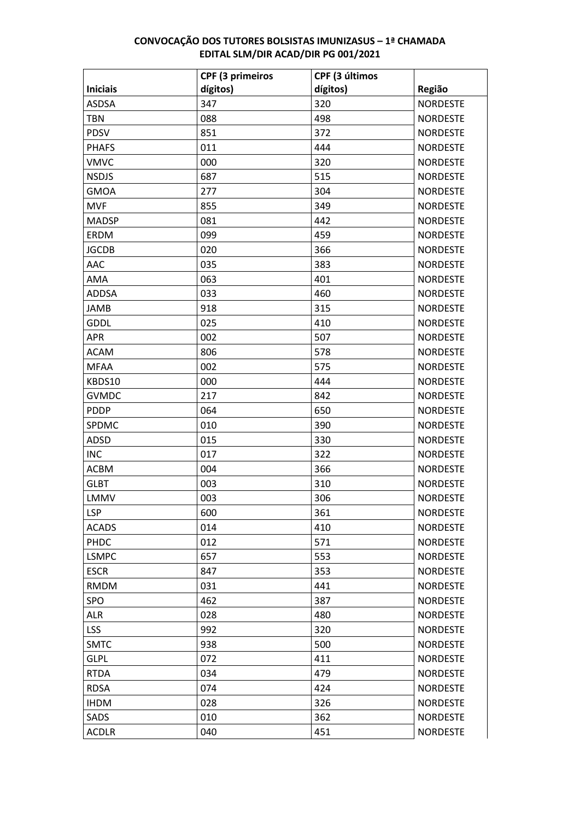|                 | <b>CPF (3 primeiros</b> | CPF (3 últimos |                 |
|-----------------|-------------------------|----------------|-----------------|
| <b>Iniciais</b> | dígitos)                | dígitos)       | Região          |
| <b>ASDSA</b>    | 347                     | 320            | <b>NORDESTE</b> |
| <b>TBN</b>      | 088                     | 498            | <b>NORDESTE</b> |
| <b>PDSV</b>     | 851                     | 372            | <b>NORDESTE</b> |
| <b>PHAFS</b>    | 011                     | 444            | <b>NORDESTE</b> |
| <b>VMVC</b>     | 000                     | 320            | <b>NORDESTE</b> |
| <b>NSDJS</b>    | 687                     | 515            | <b>NORDESTE</b> |
| <b>GMOA</b>     | 277                     | 304            | <b>NORDESTE</b> |
| <b>MVF</b>      | 855                     | 349            | <b>NORDESTE</b> |
| <b>MADSP</b>    | 081                     | 442            | <b>NORDESTE</b> |
| <b>ERDM</b>     | 099                     | 459            | <b>NORDESTE</b> |
| <b>JGCDB</b>    | 020                     | 366            | <b>NORDESTE</b> |
| AAC             | 035                     | 383            | <b>NORDESTE</b> |
| AMA             | 063                     | 401            | <b>NORDESTE</b> |
| <b>ADDSA</b>    | 033                     | 460            | <b>NORDESTE</b> |
| <b>JAMB</b>     | 918                     | 315            | <b>NORDESTE</b> |
| <b>GDDL</b>     | 025                     | 410            | <b>NORDESTE</b> |
| APR             | 002                     | 507            | <b>NORDESTE</b> |
| <b>ACAM</b>     | 806                     | 578            | <b>NORDESTE</b> |
| <b>MFAA</b>     | 002                     | 575            | <b>NORDESTE</b> |
| KBDS10          | 000                     | 444            | <b>NORDESTE</b> |
| <b>GVMDC</b>    | 217                     | 842            | <b>NORDESTE</b> |
| <b>PDDP</b>     | 064                     | 650            | <b>NORDESTE</b> |
| SPDMC           | 010                     | 390            | <b>NORDESTE</b> |
| ADSD            | 015                     | 330            | <b>NORDESTE</b> |
| <b>INC</b>      | 017                     | 322            | <b>NORDESTE</b> |
| <b>ACBM</b>     | 004                     | 366            | <b>NORDESTE</b> |
| <b>GLBT</b>     | 003                     | 310            | <b>NORDESTE</b> |
| LMMV            | 003                     | 306            | <b>NORDESTE</b> |
| <b>LSP</b>      | 600                     | 361            | <b>NORDESTE</b> |
| <b>ACADS</b>    | 014                     | 410            | <b>NORDESTE</b> |
| PHDC            | 012                     | 571            | <b>NORDESTE</b> |
| <b>LSMPC</b>    | 657                     | 553            | <b>NORDESTE</b> |
| <b>ESCR</b>     | 847                     | 353            | <b>NORDESTE</b> |
| <b>RMDM</b>     | 031                     | 441            | <b>NORDESTE</b> |
| SPO             | 462                     | 387            | <b>NORDESTE</b> |
| <b>ALR</b>      | 028                     | 480            | <b>NORDESTE</b> |
| <b>LSS</b>      | 992                     | 320            | <b>NORDESTE</b> |
| <b>SMTC</b>     | 938                     | 500            | <b>NORDESTE</b> |
| <b>GLPL</b>     | 072                     | 411            | <b>NORDESTE</b> |
| <b>RTDA</b>     | 034                     | 479            | <b>NORDESTE</b> |
| <b>RDSA</b>     | 074                     | 424            | <b>NORDESTE</b> |
| <b>IHDM</b>     | 028                     | 326            | <b>NORDESTE</b> |
| SADS            | 010                     | 362            | <b>NORDESTE</b> |
| <b>ACDLR</b>    | 040                     | 451            | <b>NORDESTE</b> |
|                 |                         |                |                 |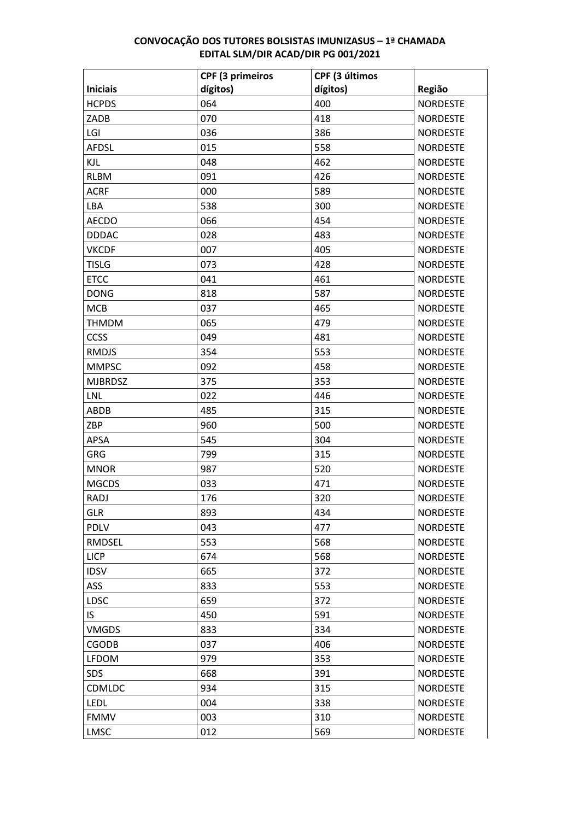|                 | <b>CPF (3 primeiros</b> | CPF (3 últimos |                 |
|-----------------|-------------------------|----------------|-----------------|
| <b>Iniciais</b> | dígitos)                | dígitos)       | Região          |
| <b>HCPDS</b>    | 064                     | 400            | <b>NORDESTE</b> |
| ZADB            | 070                     | 418            | <b>NORDESTE</b> |
| LGI             | 036                     | 386            | <b>NORDESTE</b> |
| <b>AFDSL</b>    | 015                     | 558            | <b>NORDESTE</b> |
| KJL             | 048                     | 462            | <b>NORDESTE</b> |
| <b>RLBM</b>     | 091                     | 426            | <b>NORDESTE</b> |
| <b>ACRF</b>     | 000                     | 589            | <b>NORDESTE</b> |
| LBA             | 538                     | 300            | <b>NORDESTE</b> |
| <b>AECDO</b>    | 066                     | 454            | <b>NORDESTE</b> |
| <b>DDDAC</b>    | 028                     | 483            | <b>NORDESTE</b> |
| <b>VKCDF</b>    | 007                     | 405            | <b>NORDESTE</b> |
| <b>TISLG</b>    | 073                     | 428            | <b>NORDESTE</b> |
| <b>ETCC</b>     | 041                     | 461            | <b>NORDESTE</b> |
| <b>DONG</b>     | 818                     | 587            | <b>NORDESTE</b> |
| <b>MCB</b>      | 037                     | 465            | <b>NORDESTE</b> |
| <b>THMDM</b>    | 065                     | 479            | <b>NORDESTE</b> |
| CCSS            | 049                     | 481            | <b>NORDESTE</b> |
| <b>RMDJS</b>    | 354                     | 553            | <b>NORDESTE</b> |
| <b>MMPSC</b>    | 092                     | 458            | <b>NORDESTE</b> |
| <b>MJBRDSZ</b>  | 375                     | 353            | <b>NORDESTE</b> |
| <b>LNL</b>      | 022                     | 446            | <b>NORDESTE</b> |
| ABDB            | 485                     | 315            | <b>NORDESTE</b> |
| ZBP             | 960                     | 500            | <b>NORDESTE</b> |
| <b>APSA</b>     | 545                     | 304            | <b>NORDESTE</b> |
| <b>GRG</b>      | 799                     | 315            | <b>NORDESTE</b> |
| <b>MNOR</b>     | 987                     | 520            | <b>NORDESTE</b> |
| <b>MGCDS</b>    | 033                     | 471            | <b>NORDESTE</b> |
| <b>RADJ</b>     | 176                     | 320            | <b>NORDESTE</b> |
| <b>GLR</b>      | 893                     | 434            | <b>NORDESTE</b> |
| <b>PDLV</b>     | 043                     | 477            | <b>NORDESTE</b> |
| RMDSEL          | 553                     | 568            | <b>NORDESTE</b> |
| <b>LICP</b>     | 674                     | 568            | <b>NORDESTE</b> |
| <b>IDSV</b>     | 665                     | 372            | <b>NORDESTE</b> |
| <b>ASS</b>      | 833                     | 553            | <b>NORDESTE</b> |
| <b>LDSC</b>     | 659                     | 372            | <b>NORDESTE</b> |
| IS.             | 450                     | 591            | <b>NORDESTE</b> |
| <b>VMGDS</b>    | 833                     | 334            | <b>NORDESTE</b> |
| <b>CGODB</b>    | 037                     | 406            | <b>NORDESTE</b> |
| <b>LFDOM</b>    | 979                     | 353            | <b>NORDESTE</b> |
| <b>SDS</b>      | 668                     | 391            | <b>NORDESTE</b> |
| CDMLDC          | 934                     | 315            | <b>NORDESTE</b> |
| LEDL            | 004                     | 338            | <b>NORDESTE</b> |
| <b>FMMV</b>     | 003                     | 310            | <b>NORDESTE</b> |
| LMSC            | 012                     | 569            | <b>NORDESTE</b> |
|                 |                         |                |                 |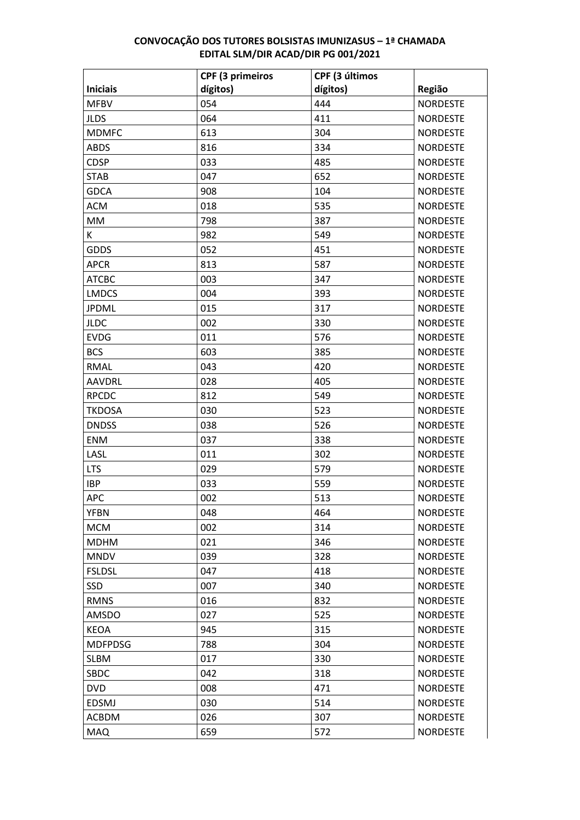|                 | <b>CPF (3 primeiros</b> | CPF (3 últimos |                 |
|-----------------|-------------------------|----------------|-----------------|
| <b>Iniciais</b> | dígitos)                | dígitos)       | Região          |
| <b>MFBV</b>     | 054                     | 444            | <b>NORDESTE</b> |
| <b>JLDS</b>     | 064                     | 411            | <b>NORDESTE</b> |
| <b>MDMFC</b>    | 613                     | 304            | <b>NORDESTE</b> |
| <b>ABDS</b>     | 816                     | 334            | <b>NORDESTE</b> |
| <b>CDSP</b>     | 033                     | 485            | <b>NORDESTE</b> |
| <b>STAB</b>     | 047                     | 652            | <b>NORDESTE</b> |
| <b>GDCA</b>     | 908                     | 104            | <b>NORDESTE</b> |
| <b>ACM</b>      | 018                     | 535            | <b>NORDESTE</b> |
| MM              | 798                     | 387            | <b>NORDESTE</b> |
| K               | 982                     | 549            | <b>NORDESTE</b> |
| <b>GDDS</b>     | 052                     | 451            | <b>NORDESTE</b> |
| <b>APCR</b>     | 813                     | 587            | <b>NORDESTE</b> |
| <b>ATCBC</b>    | 003                     | 347            | <b>NORDESTE</b> |
| <b>LMDCS</b>    | 004                     | 393            | <b>NORDESTE</b> |
| <b>JPDML</b>    | 015                     | 317            | <b>NORDESTE</b> |
| <b>JLDC</b>     | 002                     | 330            | <b>NORDESTE</b> |
| <b>EVDG</b>     | 011                     | 576            | <b>NORDESTE</b> |
| <b>BCS</b>      | 603                     | 385            | <b>NORDESTE</b> |
| <b>RMAL</b>     | 043                     | 420            | <b>NORDESTE</b> |
| <b>AAVDRL</b>   | 028                     | 405            | <b>NORDESTE</b> |
| <b>RPCDC</b>    | 812                     | 549            | <b>NORDESTE</b> |
| <b>TKDOSA</b>   | 030                     | 523            | <b>NORDESTE</b> |
| <b>DNDSS</b>    | 038                     | 526            | <b>NORDESTE</b> |
| <b>ENM</b>      | 037                     | 338            | <b>NORDESTE</b> |
| LASL            | 011                     | 302            | <b>NORDESTE</b> |
| <b>LTS</b>      | 029                     | 579            | <b>NORDESTE</b> |
| <b>IBP</b>      | 033                     | 559            | <b>NORDESTE</b> |
| <b>APC</b>      | 002                     | 513            | <b>NORDESTE</b> |
| <b>YFBN</b>     | 048                     | 464            | <b>NORDESTE</b> |
| <b>MCM</b>      | 002                     | 314            | <b>NORDESTE</b> |
| <b>MDHM</b>     | 021                     | 346            | <b>NORDESTE</b> |
| <b>MNDV</b>     | 039                     | 328            | <b>NORDESTE</b> |
| <b>FSLDSL</b>   | 047                     | 418            | <b>NORDESTE</b> |
| SSD             | 007                     | 340            | <b>NORDESTE</b> |
| <b>RMNS</b>     | 016                     | 832            | <b>NORDESTE</b> |
| AMSDO           | 027                     | 525            | <b>NORDESTE</b> |
| KEOA            | 945                     | 315            | <b>NORDESTE</b> |
| <b>MDFPDSG</b>  | 788                     | 304            | <b>NORDESTE</b> |
| <b>SLBM</b>     | 017                     | 330            | <b>NORDESTE</b> |
| <b>SBDC</b>     | 042                     | 318            | <b>NORDESTE</b> |
| <b>DVD</b>      | 008                     | 471            | <b>NORDESTE</b> |
| <b>EDSMJ</b>    | 030                     | 514            | <b>NORDESTE</b> |
| ACBDM           | 026                     | 307            | <b>NORDESTE</b> |
| <b>MAQ</b>      | 659                     | 572            | <b>NORDESTE</b> |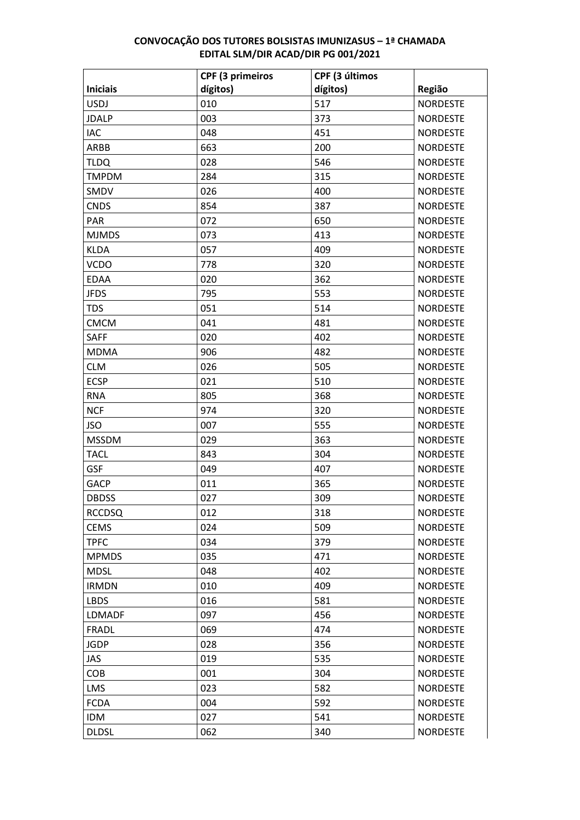|                 | <b>CPF (3 primeiros</b> | CPF (3 últimos |                 |
|-----------------|-------------------------|----------------|-----------------|
| <b>Iniciais</b> | dígitos)                | dígitos)       | Região          |
| <b>USDJ</b>     | 010                     | 517            | <b>NORDESTE</b> |
| <b>JDALP</b>    | 003                     | 373            | <b>NORDESTE</b> |
| <b>IAC</b>      | 048                     | 451            | <b>NORDESTE</b> |
| ARBB            | 663                     | 200            | <b>NORDESTE</b> |
| <b>TLDQ</b>     | 028                     | 546            | <b>NORDESTE</b> |
| <b>TMPDM</b>    | 284                     | 315            | <b>NORDESTE</b> |
| SMDV            | 026                     | 400            | <b>NORDESTE</b> |
| <b>CNDS</b>     | 854                     | 387            | <b>NORDESTE</b> |
| PAR             | 072                     | 650            | <b>NORDESTE</b> |
| <b>MJMDS</b>    | 073                     | 413            | <b>NORDESTE</b> |
| <b>KLDA</b>     | 057                     | 409            | <b>NORDESTE</b> |
| <b>VCDO</b>     | 778                     | 320            | <b>NORDESTE</b> |
| <b>EDAA</b>     | 020                     | 362            | <b>NORDESTE</b> |
| <b>JFDS</b>     | 795                     | 553            | <b>NORDESTE</b> |
| <b>TDS</b>      | 051                     | 514            | <b>NORDESTE</b> |
| <b>CMCM</b>     | 041                     | 481            | <b>NORDESTE</b> |
| <b>SAFF</b>     | 020                     | 402            | <b>NORDESTE</b> |
| <b>MDMA</b>     | 906                     | 482            | <b>NORDESTE</b> |
| <b>CLM</b>      | 026                     | 505            | <b>NORDESTE</b> |
| <b>ECSP</b>     | 021                     | 510            | <b>NORDESTE</b> |
| <b>RNA</b>      | 805                     | 368            | <b>NORDESTE</b> |
| <b>NCF</b>      | 974                     | 320            | <b>NORDESTE</b> |
| <b>JSO</b>      | 007                     | 555            | <b>NORDESTE</b> |
| <b>MSSDM</b>    | 029                     | 363            | <b>NORDESTE</b> |
| <b>TACL</b>     | 843                     | 304            | <b>NORDESTE</b> |
| <b>GSF</b>      | 049                     | 407            | <b>NORDESTE</b> |
| <b>GACP</b>     | 011                     | 365            | <b>NORDESTE</b> |
| <b>DBDSS</b>    | 027                     | 309            | <b>NORDESTE</b> |
| <b>RCCDSQ</b>   | 012                     | 318            | <b>NORDESTE</b> |
| <b>CEMS</b>     | 024                     | 509            | <b>NORDESTE</b> |
| <b>TPFC</b>     | 034                     | 379            | <b>NORDESTE</b> |
| <b>MPMDS</b>    | 035                     | 471            | <b>NORDESTE</b> |
| <b>MDSL</b>     | 048                     | 402            | <b>NORDESTE</b> |
| <b>IRMDN</b>    | 010                     | 409            | <b>NORDESTE</b> |
| <b>LBDS</b>     | 016                     | 581            | <b>NORDESTE</b> |
| <b>LDMADF</b>   | 097                     | 456            | <b>NORDESTE</b> |
| <b>FRADL</b>    | 069                     | 474            | <b>NORDESTE</b> |
| <b>JGDP</b>     | 028                     | 356            | <b>NORDESTE</b> |
| JAS             | 019                     | 535            | <b>NORDESTE</b> |
| <b>COB</b>      | 001                     | 304            | <b>NORDESTE</b> |
| <b>LMS</b>      | 023                     | 582            | <b>NORDESTE</b> |
| <b>FCDA</b>     | 004                     | 592            | <b>NORDESTE</b> |
| <b>IDM</b>      | 027                     | 541            | <b>NORDESTE</b> |
| <b>DLDSL</b>    | 062                     | 340            | <b>NORDESTE</b> |
|                 |                         |                |                 |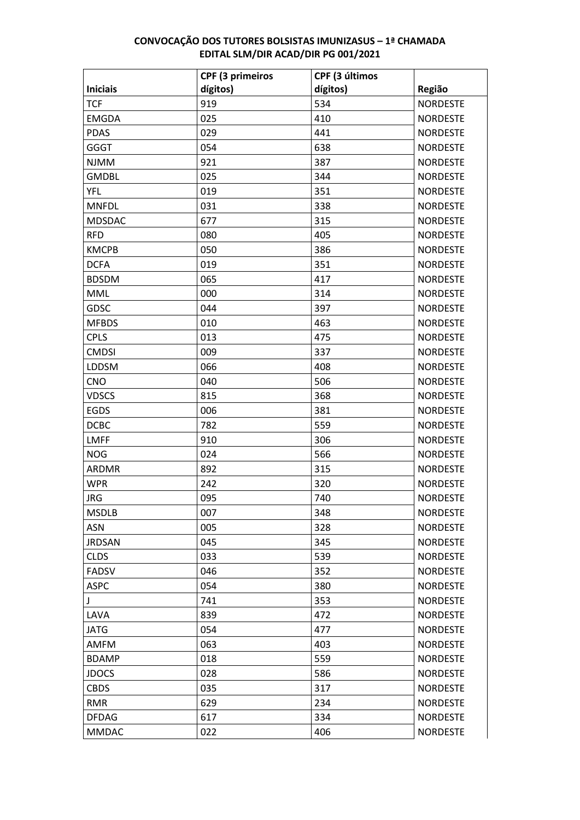|                 | <b>CPF (3 primeiros</b> | CPF (3 últimos |                 |
|-----------------|-------------------------|----------------|-----------------|
| <b>Iniciais</b> | dígitos)                | dígitos)       | Região          |
| <b>TCF</b>      | 919                     | 534            | <b>NORDESTE</b> |
| <b>EMGDA</b>    | 025                     | 410            | <b>NORDESTE</b> |
| <b>PDAS</b>     | 029                     | 441            | <b>NORDESTE</b> |
| <b>GGGT</b>     | 054                     | 638            | <b>NORDESTE</b> |
| <b>NJMM</b>     | 921                     | 387            | <b>NORDESTE</b> |
| <b>GMDBL</b>    | 025                     | 344            | <b>NORDESTE</b> |
| <b>YFL</b>      | 019                     | 351            | <b>NORDESTE</b> |
| <b>MNFDL</b>    | 031                     | 338            | <b>NORDESTE</b> |
| <b>MDSDAC</b>   | 677                     | 315            | <b>NORDESTE</b> |
| <b>RFD</b>      | 080                     | 405            | <b>NORDESTE</b> |
| <b>KMCPB</b>    | 050                     | 386            | <b>NORDESTE</b> |
| <b>DCFA</b>     | 019                     | 351            | <b>NORDESTE</b> |
| <b>BDSDM</b>    | 065                     | 417            | <b>NORDESTE</b> |
| <b>MML</b>      | 000                     | 314            | <b>NORDESTE</b> |
| <b>GDSC</b>     | 044                     | 397            | <b>NORDESTE</b> |
| <b>MFBDS</b>    | 010                     | 463            | <b>NORDESTE</b> |
| <b>CPLS</b>     | 013                     | 475            | <b>NORDESTE</b> |
| <b>CMDSI</b>    | 009                     | 337            | <b>NORDESTE</b> |
| <b>LDDSM</b>    | 066                     | 408            | <b>NORDESTE</b> |
| <b>CNO</b>      | 040                     | 506            | <b>NORDESTE</b> |
| <b>VDSCS</b>    | 815                     | 368            | <b>NORDESTE</b> |
| <b>EGDS</b>     | 006                     | 381            | <b>NORDESTE</b> |
| <b>DCBC</b>     | 782                     | 559            | <b>NORDESTE</b> |
| <b>LMFF</b>     | 910                     | 306            | <b>NORDESTE</b> |
| <b>NOG</b>      | 024                     | 566            | <b>NORDESTE</b> |
| ARDMR           | 892                     | 315            | <b>NORDESTE</b> |
| <b>WPR</b>      | 242                     | 320            | <b>NORDESTE</b> |
| <b>JRG</b>      | 095                     | 740            | <b>NORDESTE</b> |
| <b>MSDLB</b>    | 007                     | 348            | <b>NORDESTE</b> |
| <b>ASN</b>      | 005                     | 328            | <b>NORDESTE</b> |
| <b>JRDSAN</b>   | 045                     | 345            | <b>NORDESTE</b> |
| <b>CLDS</b>     | 033                     | 539            | <b>NORDESTE</b> |
| <b>FADSV</b>    | 046                     | 352            | <b>NORDESTE</b> |
| <b>ASPC</b>     | 054                     | 380            | <b>NORDESTE</b> |
| J               | 741                     | 353            | <b>NORDESTE</b> |
| LAVA            | 839                     | 472            | <b>NORDESTE</b> |
| JATG            | 054                     | 477            | <b>NORDESTE</b> |
| AMFM            | 063                     | 403            | <b>NORDESTE</b> |
| <b>BDAMP</b>    | 018                     | 559            | <b>NORDESTE</b> |
| <b>JDOCS</b>    | 028                     | 586            | <b>NORDESTE</b> |
| <b>CBDS</b>     | 035                     | 317            | <b>NORDESTE</b> |
| <b>RMR</b>      | 629                     | 234            | <b>NORDESTE</b> |
| <b>DFDAG</b>    | 617                     | 334            | <b>NORDESTE</b> |
| <b>MMDAC</b>    | 022                     | 406            | <b>NORDESTE</b> |
|                 |                         |                |                 |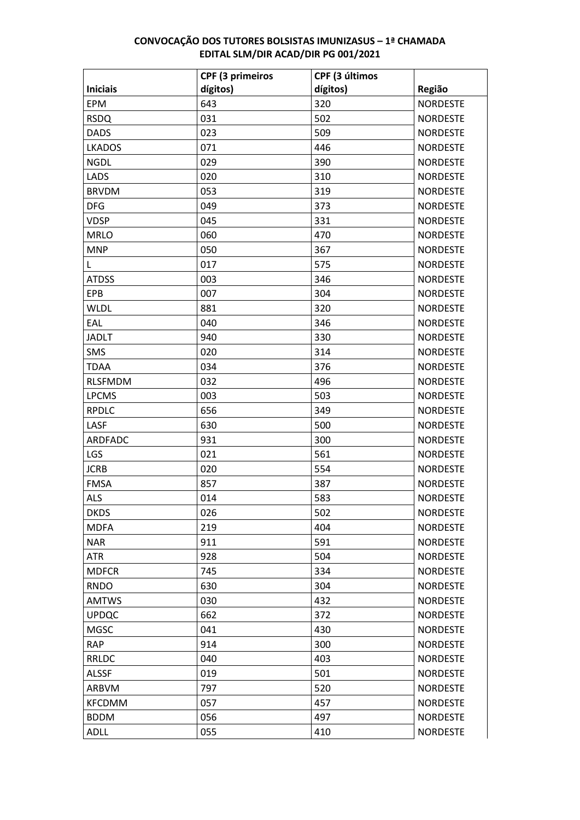|                 | <b>CPF (3 primeiros</b> | CPF (3 últimos |                 |
|-----------------|-------------------------|----------------|-----------------|
| <b>Iniciais</b> | dígitos)                | dígitos)       | Região          |
| <b>EPM</b>      | 643                     | 320            | <b>NORDESTE</b> |
| <b>RSDQ</b>     | 031                     | 502            | <b>NORDESTE</b> |
| <b>DADS</b>     | 023                     | 509            | <b>NORDESTE</b> |
| <b>LKADOS</b>   | 071                     | 446            | <b>NORDESTE</b> |
| <b>NGDL</b>     | 029                     | 390            | <b>NORDESTE</b> |
| LADS            | 020                     | 310            | <b>NORDESTE</b> |
| <b>BRVDM</b>    | 053                     | 319            | <b>NORDESTE</b> |
| <b>DFG</b>      | 049                     | 373            | <b>NORDESTE</b> |
| <b>VDSP</b>     | 045                     | 331            | <b>NORDESTE</b> |
| <b>MRLO</b>     | 060                     | 470            | <b>NORDESTE</b> |
| <b>MNP</b>      | 050                     | 367            | <b>NORDESTE</b> |
| L               | 017                     | 575            | <b>NORDESTE</b> |
| <b>ATDSS</b>    | 003                     | 346            | <b>NORDESTE</b> |
| EPB             | 007                     | 304            | <b>NORDESTE</b> |
| <b>WLDL</b>     | 881                     | 320            | <b>NORDESTE</b> |
| EAL             | 040                     | 346            | <b>NORDESTE</b> |
| <b>JADLT</b>    | 940                     | 330            | <b>NORDESTE</b> |
| SMS             | 020                     | 314            | <b>NORDESTE</b> |
| <b>TDAA</b>     | 034                     | 376            | <b>NORDESTE</b> |
| <b>RLSFMDM</b>  | 032                     | 496            | <b>NORDESTE</b> |
| <b>LPCMS</b>    | 003                     | 503            | <b>NORDESTE</b> |
| <b>RPDLC</b>    | 656                     | 349            | <b>NORDESTE</b> |
| LASF            | 630                     | 500            | <b>NORDESTE</b> |
| ARDFADC         | 931                     | 300            | <b>NORDESTE</b> |
| LGS             | 021                     | 561            | <b>NORDESTE</b> |
| <b>JCRB</b>     | 020                     | 554            | <b>NORDESTE</b> |
| <b>FMSA</b>     | 857                     | 387            | <b>NORDESTE</b> |
| <b>ALS</b>      | 014                     | 583            | <b>NORDESTE</b> |
| <b>DKDS</b>     | 026                     | 502            | <b>NORDESTE</b> |
| <b>MDFA</b>     | 219                     | 404            | <b>NORDESTE</b> |
| <b>NAR</b>      | 911                     | 591            | <b>NORDESTE</b> |
| ATR             | 928                     | 504            | <b>NORDESTE</b> |
| <b>MDFCR</b>    | 745                     | 334            | <b>NORDESTE</b> |
| <b>RNDO</b>     | 630                     | 304            | <b>NORDESTE</b> |
| <b>AMTWS</b>    | 030                     | 432            | <b>NORDESTE</b> |
| <b>UPDQC</b>    | 662                     | 372            | <b>NORDESTE</b> |
| <b>MGSC</b>     | 041                     | 430            | <b>NORDESTE</b> |
| <b>RAP</b>      | 914                     | 300            | <b>NORDESTE</b> |
| RRLDC           | 040                     | 403            | <b>NORDESTE</b> |
| <b>ALSSF</b>    | 019                     | 501            | <b>NORDESTE</b> |
| ARBVM           | 797                     | 520            | <b>NORDESTE</b> |
| <b>KFCDMM</b>   | 057                     | 457            | <b>NORDESTE</b> |
| <b>BDDM</b>     | 056                     | 497            | <b>NORDESTE</b> |
| <b>ADLL</b>     | 055                     | 410            | <b>NORDESTE</b> |
|                 |                         |                |                 |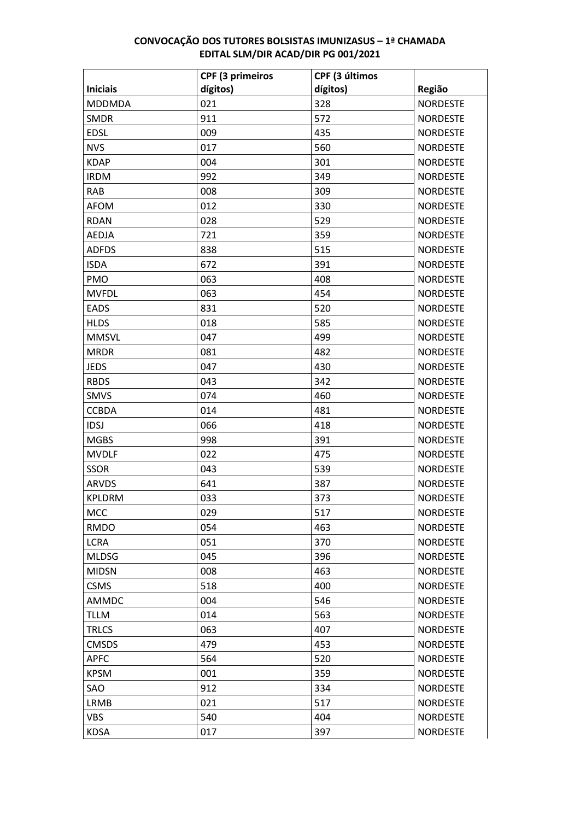|                 | <b>CPF (3 primeiros</b> | CPF (3 últimos |                 |
|-----------------|-------------------------|----------------|-----------------|
| <b>Iniciais</b> | dígitos)                | dígitos)       | Região          |
| <b>MDDMDA</b>   | 021                     | 328            | <b>NORDESTE</b> |
| <b>SMDR</b>     | 911                     | 572            | <b>NORDESTE</b> |
| <b>EDSL</b>     | 009                     | 435            | <b>NORDESTE</b> |
| <b>NVS</b>      | 017                     | 560            | <b>NORDESTE</b> |
| <b>KDAP</b>     | 004                     | 301            | <b>NORDESTE</b> |
| <b>IRDM</b>     | 992                     | 349            | <b>NORDESTE</b> |
| <b>RAB</b>      | 008                     | 309            | <b>NORDESTE</b> |
| <b>AFOM</b>     | 012                     | 330            | <b>NORDESTE</b> |
| <b>RDAN</b>     | 028                     | 529            | <b>NORDESTE</b> |
| <b>AEDJA</b>    | 721                     | 359            | <b>NORDESTE</b> |
| <b>ADFDS</b>    | 838                     | 515            | <b>NORDESTE</b> |
| <b>ISDA</b>     | 672                     | 391            | <b>NORDESTE</b> |
| <b>PMO</b>      | 063                     | 408            | <b>NORDESTE</b> |
| <b>MVFDL</b>    | 063                     | 454            | <b>NORDESTE</b> |
| <b>EADS</b>     | 831                     | 520            | <b>NORDESTE</b> |
| <b>HLDS</b>     | 018                     | 585            | <b>NORDESTE</b> |
| <b>MMSVL</b>    | 047                     | 499            | <b>NORDESTE</b> |
| <b>MRDR</b>     | 081                     | 482            | <b>NORDESTE</b> |
| <b>JEDS</b>     | 047                     | 430            | <b>NORDESTE</b> |
| <b>RBDS</b>     | 043                     | 342            | <b>NORDESTE</b> |
| <b>SMVS</b>     | 074                     | 460            | <b>NORDESTE</b> |
| <b>CCBDA</b>    | 014                     | 481            | <b>NORDESTE</b> |
| <b>IDSJ</b>     | 066                     | 418            | <b>NORDESTE</b> |
| <b>MGBS</b>     | 998                     | 391            | <b>NORDESTE</b> |
| <b>MVDLF</b>    | 022                     | 475            | <b>NORDESTE</b> |
| <b>SSOR</b>     | 043                     | 539            | <b>NORDESTE</b> |
| <b>ARVDS</b>    | 641                     | 387            | <b>NORDESTE</b> |
| <b>KPLDRM</b>   | 033                     | 373            | <b>NORDESTE</b> |
| <b>MCC</b>      | 029                     | 517            | <b>NORDESTE</b> |
| <b>RMDO</b>     | 054                     | 463            | <b>NORDESTE</b> |
| <b>LCRA</b>     | 051                     | 370            | <b>NORDESTE</b> |
| <b>MLDSG</b>    | 045                     | 396            | <b>NORDESTE</b> |
| <b>MIDSN</b>    | 008                     | 463            | <b>NORDESTE</b> |
| <b>CSMS</b>     | 518                     | 400            | <b>NORDESTE</b> |
| AMMDC           | 004                     | 546            | <b>NORDESTE</b> |
| <b>TLLM</b>     | 014                     | 563            | <b>NORDESTE</b> |
| <b>TRLCS</b>    | 063                     | 407            | <b>NORDESTE</b> |
| <b>CMSDS</b>    | 479                     | 453            | <b>NORDESTE</b> |
| <b>APFC</b>     | 564                     | 520            | <b>NORDESTE</b> |
| <b>KPSM</b>     | 001                     | 359            | <b>NORDESTE</b> |
| SAO             | 912                     | 334            | <b>NORDESTE</b> |
| <b>LRMB</b>     | 021                     | 517            | <b>NORDESTE</b> |
| <b>VBS</b>      | 540                     | 404            | <b>NORDESTE</b> |
| <b>KDSA</b>     | 017                     | 397            | <b>NORDESTE</b> |
|                 |                         |                |                 |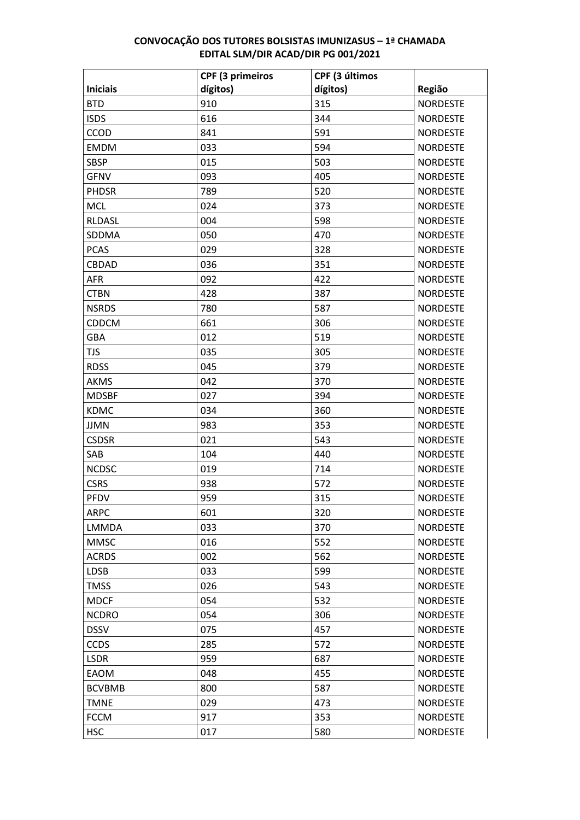|                 | <b>CPF (3 primeiros</b> | CPF (3 últimos |                 |
|-----------------|-------------------------|----------------|-----------------|
| <b>Iniciais</b> | dígitos)                | dígitos)       | Região          |
| <b>BTD</b>      | 910                     | 315            | <b>NORDESTE</b> |
| <b>ISDS</b>     | 616                     | 344            | <b>NORDESTE</b> |
| CCOD            | 841                     | 591            | <b>NORDESTE</b> |
| <b>EMDM</b>     | 033                     | 594            | <b>NORDESTE</b> |
| <b>SBSP</b>     | 015                     | 503            | <b>NORDESTE</b> |
| <b>GFNV</b>     | 093                     | 405            | <b>NORDESTE</b> |
| <b>PHDSR</b>    | 789                     | 520            | <b>NORDESTE</b> |
| <b>MCL</b>      | 024                     | 373            | <b>NORDESTE</b> |
| RLDASL          | 004                     | 598            | <b>NORDESTE</b> |
| SDDMA           | 050                     | 470            | <b>NORDESTE</b> |
| <b>PCAS</b>     | 029                     | 328            | <b>NORDESTE</b> |
| CBDAD           | 036                     | 351            | <b>NORDESTE</b> |
| <b>AFR</b>      | 092                     | 422            | <b>NORDESTE</b> |
| <b>CTBN</b>     | 428                     | 387            | <b>NORDESTE</b> |
| <b>NSRDS</b>    | 780                     | 587            | <b>NORDESTE</b> |
| <b>CDDCM</b>    | 661                     | 306            | <b>NORDESTE</b> |
| GBA             | 012                     | 519            | <b>NORDESTE</b> |
| <b>TJS</b>      | 035                     | 305            | <b>NORDESTE</b> |
| <b>RDSS</b>     | 045                     | 379            | <b>NORDESTE</b> |
| <b>AKMS</b>     | 042                     | 370            | <b>NORDESTE</b> |
| <b>MDSBF</b>    | 027                     | 394            | <b>NORDESTE</b> |
| <b>KDMC</b>     | 034                     | 360            | <b>NORDESTE</b> |
| <b>JJMN</b>     | 983                     | 353            | <b>NORDESTE</b> |
| <b>CSDSR</b>    | 021                     | 543            | <b>NORDESTE</b> |
| SAB             | 104                     | 440            | <b>NORDESTE</b> |
| <b>NCDSC</b>    | 019                     | 714            | <b>NORDESTE</b> |
| <b>CSRS</b>     | 938                     | 572            | <b>NORDESTE</b> |
| <b>PFDV</b>     | 959                     | 315            | <b>NORDESTE</b> |
| <b>ARPC</b>     | 601                     | 320            | <b>NORDESTE</b> |
| LMMDA           | 033                     | 370            | <b>NORDESTE</b> |
| <b>MMSC</b>     | 016                     | 552            | <b>NORDESTE</b> |
| <b>ACRDS</b>    | 002                     | 562            | <b>NORDESTE</b> |
| <b>LDSB</b>     | 033                     | 599            | <b>NORDESTE</b> |
| <b>TMSS</b>     | 026                     | 543            | <b>NORDESTE</b> |
| <b>MDCF</b>     | 054                     | 532            | <b>NORDESTE</b> |
| <b>NCDRO</b>    | 054                     | 306            | <b>NORDESTE</b> |
| <b>DSSV</b>     | 075                     | 457            | <b>NORDESTE</b> |
| <b>CCDS</b>     | 285                     | 572            | <b>NORDESTE</b> |
| <b>LSDR</b>     | 959                     | 687            | <b>NORDESTE</b> |
| EAOM            | 048                     | 455            | <b>NORDESTE</b> |
| <b>BCVBMB</b>   | 800                     | 587            | <b>NORDESTE</b> |
| <b>TMNE</b>     | 029                     | 473            | <b>NORDESTE</b> |
| <b>FCCM</b>     | 917                     | 353            | <b>NORDESTE</b> |
| <b>HSC</b>      | 017                     | 580            | <b>NORDESTE</b> |